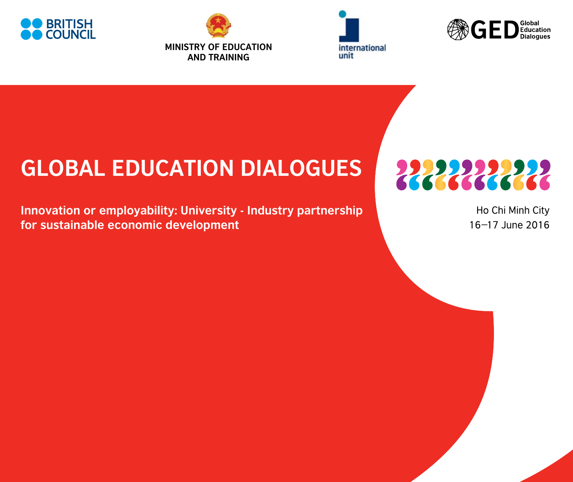







## **GLOBAL EDUCATION DIALOGUES**

**Innovation or employability: University - Industry partnership for sustainable economic development**

2222222222

Ho Chi Minh City 16-17 June 2016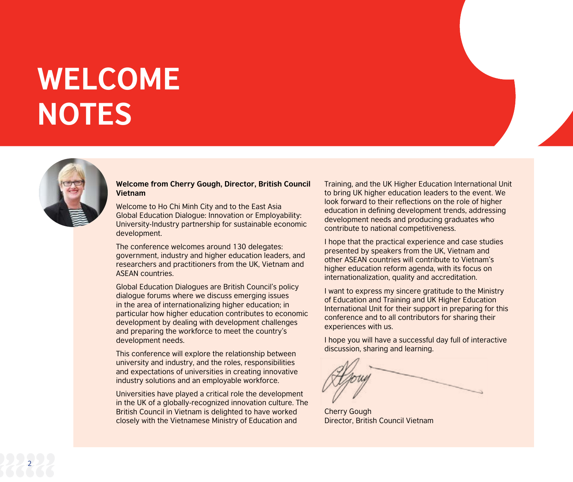# **WELCOME NOTES**



#### **Welcome from Cherry Gough, Director, British Council Vietnam**

Welcome to Ho Chi Minh City and to the East Asia Global Education Dialogue: Innovation or Employability: University-Industry partnership for sustainable economic development.

The conference welcomes around 130 delegates: government, industry and higher education leaders, and researchers and practitioners from the UK, Vietnam and ASEAN countries.

Global Education Dialogues are British Council's policy dialogue forums where we discuss emerging issues in the area of internationalizing higher education; in particular how higher education contributes to economic development by dealing with development challenges and preparing the workforce to meet the country's development needs.

This conference will explore the relationship between university and industry, and the roles, responsibilities and expectations of universities in creating innovative industry solutions and an employable workforce.

Universities have played a critical role the development in the UK of a globally-recognized innovation culture. The British Council in Vietnam is delighted to have worked closely with the Vietnamese Ministry of Education and

Training, and the UK Higher Education International Unit to bring UK higher education leaders to the event. We look forward to their reflections on the role of higher education in defining development trends, addressing development needs and producing graduates who contribute to national competitiveness.

I hope that the practical experience and case studies presented by speakers from the UK, Vietnam and other ASEAN countries will contribute to Vietnam's higher education reform agenda, with its focus on internationalization, quality and accreditation.

I want to express my sincere gratitude to the Ministry of Education and Training and UK Higher Education International Unit for their support in preparing for this conference and to all contributors for sharing their experiences with us.

I hope you will have a successful day full of interactive discussion, sharing and learning.

Cherry Gough Director, British Council Vietnam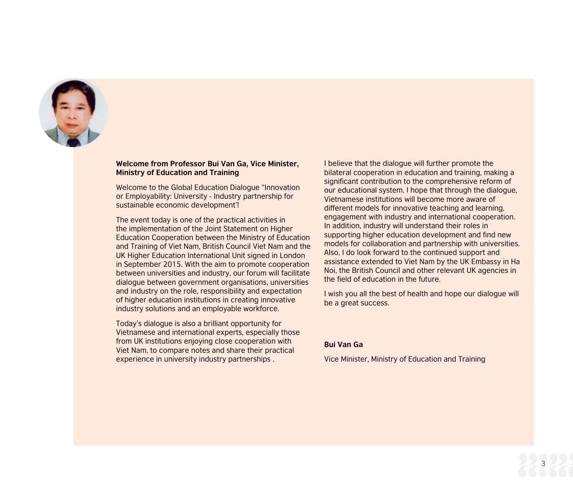

#### **Welcome from Professor Bui Van Ga, Vice Minister, Ministry of Education and Training**

Welcome to the Global Education Dialogue "Innovation or Employability: University - Industry partnership for sustainable economic development'!

The event today is one of the practical activities in the implementation of the Joint Statement on Higher Education Cooperation between the Ministry of Education and Training of Viet Nam, British Council Viet Nam and the UK Higher Education International Unit signed in London in September 2015. With the aim to promote cooperation between universities and industry, our forum will facilitate dialogue between government organisations, universities and industry on the role, responsibility and expectation of higher education institutions in creating innovative industry solutions and an employable workforce.

Today's dialogue is also a brilliant opportunity for Vietnamese and international experts, especially those from UK institutions enjoying close cooperation with Viet Nam, to compare notes and share their practical experience in university industry partnerships .

I believe that the dialogue will further promote the bilateral cooperation in education and training, making a significant contribution to the comprehensive reform of our educational system. I hope that through the dialogue, Vietnamese institutions will become more aware of different models for innovative teaching and learning, engagement with industry and international cooperation. In addition, industry will understand their roles in supporting higher education development and find new models for collaboration and partnership with universities. Also, I do look forward to the continued support and assistance extended to Viet Nam by the UK Embassy in Ha Noi, the British Council and other relevant UK agencies in the field of education in the future.

I wish you all the best of health and hope our dialogue will be a great success.

#### **Bui Van Ga**

Vice Minister, Ministry of Education and Training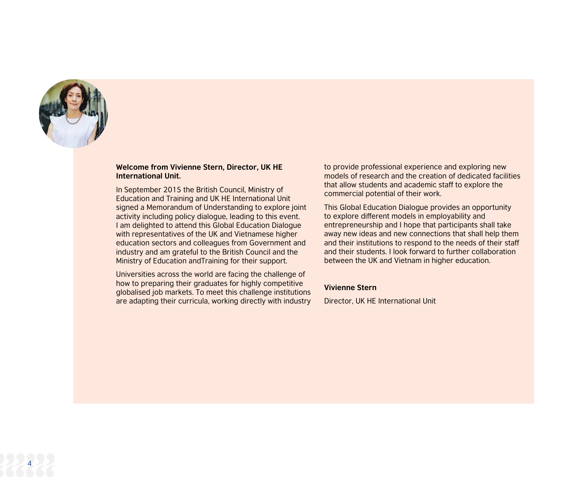

#### **Welcome from Vivienne Stern, Director, UK HE International Unit.**

In September 2015 the British Council, Ministry of Education and Training and UK HE International Unit signed a Memorandum of Understanding to explore joint activity including policy dialogue, leading to this event. I am delighted to attend this Global Education Dialogue with representatives of the UK and Vietnamese higher education sectors and colleagues from Government and industry and am grateful to the British Council and the Ministry of Education andTraining for their support.

Universities across the world are facing the challenge of how to preparing their graduates for highly competitive globalised job markets. To meet this challenge institutions are adapting their curricula, working directly with industry to provide professional experience and exploring new models of research and the creation of dedicated facilities that allow students and academic staff to explore the commercial potential of their work.

This Global Education Dialogue provides an opportunity to explore different models in employability and entrepreneurship and I hope that participants shall take away new ideas and new connections that shall help them and their institutions to respond to the needs of their staff and their students. I look forward to further collaboration between the UK and Vietnam in higher education.

#### **Vivienne Stern**

Director, UK HE International Unit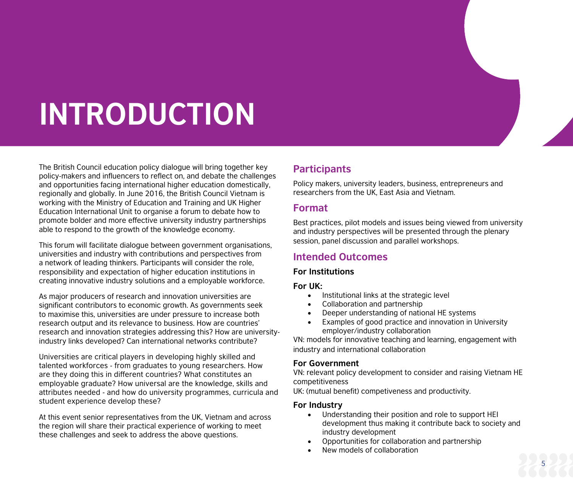# **INTRODUCTION**

The British Council education policy dialogue will bring together key policy-makers and influencers to reflect on, and debate the challenges and opportunities facing international higher education domestically, regionally and globally. In June 2016, the British Council Vietnam is working with the Ministry of Education and Training and UK Higher Education International Unit to organise a forum to debate how to promote bolder and more effective university industry partnerships able to respond to the growth of the knowledge economy.

This forum will facilitate dialogue between government organisations, universities and industry with contributions and perspectives from a network of leading thinkers. Participants will consider the role, responsibility and expectation of higher education institutions in creating innovative industry solutions and a employable workforce.

As major producers of research and innovation universities are significant contributors to economic growth. As governments seek to maximise this, universities are under pressure to increase both research output and its relevance to business. How are countries' research and innovation strategies addressing this? How are universityindustry links developed? Can international networks contribute?

Universities are critical players in developing highly skilled and talented workforces - from graduates to young researchers. How are they doing this in different countries? What constitutes an employable graduate? How universal are the knowledge, skills and attributes needed - and how do university programmes, curricula and student experience develop these?

At this event senior representatives from the UK, Vietnam and across the region will share their practical experience of working to meet these challenges and seek to address the above questions.

## **Participants**

Policy makers, university leaders, business, entrepreneurs and researchers from the UK, East Asia and Vietnam.

## **Format**

Best practices, pilot models and issues being viewed from university and industry perspectives will be presented through the plenary session, panel discussion and parallel workshops.

## **Intended Outcomes**

### **For Institutions**

### **For UK:**

- • Institutional links at the strategic level
- • Collaboration and partnership
- Deeper understanding of national HE systems
- Examples of good practice and innovation in University employer/industry collaboration

VN: models for innovative teaching and learning, engagement with industry and international collaboration

## **For Government**

VN: relevant policy development to consider and raising Vietnam HE competitiveness

UK: (mutual benefit) competiveness and productivity.

## **For Industry**

- Understanding their position and role to support HEI development thus making it contribute back to society and industry development
- Opportunities for collaboration and partnership
- New models of collaboration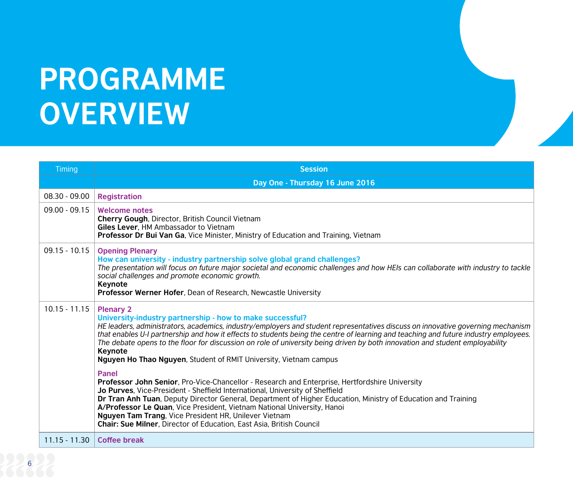# **PROGRAMME OVERVIEW**

| <b>Timing</b>   | <b>Session</b>                                                                                                                                                                                                                                                                                                                                                                                                                                                                                                                                                                                                                                                                                                                                                                                                                                                                                                                                                                                                                                                                                                 |
|-----------------|----------------------------------------------------------------------------------------------------------------------------------------------------------------------------------------------------------------------------------------------------------------------------------------------------------------------------------------------------------------------------------------------------------------------------------------------------------------------------------------------------------------------------------------------------------------------------------------------------------------------------------------------------------------------------------------------------------------------------------------------------------------------------------------------------------------------------------------------------------------------------------------------------------------------------------------------------------------------------------------------------------------------------------------------------------------------------------------------------------------|
|                 | Day One - Thursday 16 June 2016                                                                                                                                                                                                                                                                                                                                                                                                                                                                                                                                                                                                                                                                                                                                                                                                                                                                                                                                                                                                                                                                                |
| $08.30 - 09.00$ | <b>Registration</b>                                                                                                                                                                                                                                                                                                                                                                                                                                                                                                                                                                                                                                                                                                                                                                                                                                                                                                                                                                                                                                                                                            |
| $09.00 - 09.15$ | <b>Welcome notes</b><br>Cherry Gough, Director, British Council Vietnam<br>Giles Lever, HM Ambassador to Vietnam<br>Professor Dr Bui Van Ga, Vice Minister, Ministry of Education and Training, Vietnam                                                                                                                                                                                                                                                                                                                                                                                                                                                                                                                                                                                                                                                                                                                                                                                                                                                                                                        |
| $09.15 - 10.15$ | <b>Opening Plenary</b><br>How can university - industry partnership solve global grand challenges?<br>The presentation will focus on future major societal and economic challenges and how HEIs can collaborate with industry to tackle<br>social challenges and promote economic growth.<br>Keynote<br>Professor Werner Hofer, Dean of Research, Newcastle University                                                                                                                                                                                                                                                                                                                                                                                                                                                                                                                                                                                                                                                                                                                                         |
| $10.15 - 11.15$ | <b>Plenary 2</b><br>University-industry partnership - how to make successful?<br>HE leaders, administrators, academics, industry/employers and student representatives discuss on innovative governing mechanism<br>that enables U-I partnership and how it effects to students being the centre of learning and teaching and future industry employees.<br>The debate opens to the floor for discussion on role of university being driven by both innovation and student employability<br>Keynote<br><b>Nguyen Ho Thao Nguyen, Student of RMIT University, Vietnam campus</b><br><b>Panel</b><br>Professor John Senior, Pro-Vice-Chancellor - Research and Enterprise, Hertfordshire University<br>Jo Purves, Vice-President - Sheffield International, University of Sheffield<br>Dr Tran Anh Tuan, Deputy Director General, Department of Higher Education, Ministry of Education and Training<br>A/Professor Le Quan, Vice President, Vietnam National University, Hanoi<br>Nguyen Tam Trang, Vice President HR, Unilever Vietnam<br>Chair: Sue Milner, Director of Education, East Asia, British Council |
| $11.15 - 11.30$ | <b>Coffee break</b>                                                                                                                                                                                                                                                                                                                                                                                                                                                                                                                                                                                                                                                                                                                                                                                                                                                                                                                                                                                                                                                                                            |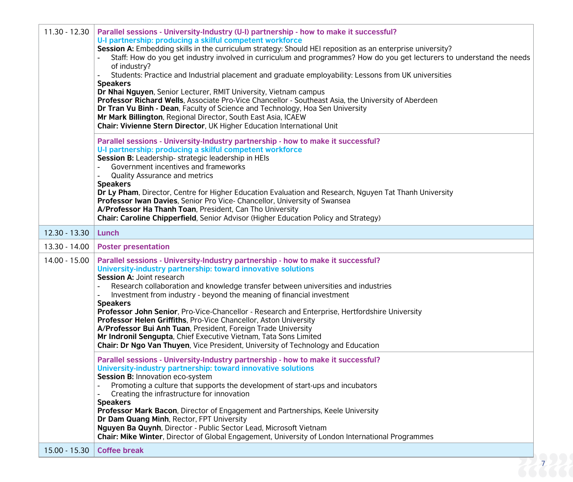| $11.30 - 12.30$ | Parallel sessions - University-Industry (U-I) partnership - how to make it successful?<br>U-I partnership: producing a skilful competent workforce<br>Session A: Embedding skills in the curriculum strategy: Should HEI reposition as an enterprise university?<br>Staff: How do you get industry involved in curriculum and programmes? How do you get lecturers to understand the needs<br>of industry?<br>Students: Practice and Industrial placement and graduate employability: Lessons from UK universities<br><b>Speakers</b><br>Dr Nhai Nguyen, Senior Lecturer, RMIT University, Vietnam campus<br>Professor Richard Wells, Associate Pro-Vice Chancellor - Southeast Asia, the University of Aberdeen<br>Dr Tran Vu Binh - Dean, Faculty of Science and Technology, Hoa Sen University<br>Mr Mark Billington, Regional Director, South East Asia, ICAEW<br>Chair: Vivienne Stern Director, UK Higher Education International Unit<br>Parallel sessions - University-Industry partnership - how to make it successful?<br>U-I partnership: producing a skilful competent workforce<br>Session B: Leadership- strategic leadership in HEIs<br>Government incentives and frameworks<br><b>Quality Assurance and metrics</b><br><b>Speakers</b><br>Dr Ly Pham, Director, Centre for Higher Education Evaluation and Research, Nguyen Tat Thanh University<br>Professor Iwan Davies, Senior Pro Vice- Chancellor, University of Swansea<br>A/Professor Ha Thanh Toan, President, Can Tho University<br>Chair: Caroline Chipperfield, Senior Advisor (Higher Education Policy and Strategy) |
|-----------------|--------------------------------------------------------------------------------------------------------------------------------------------------------------------------------------------------------------------------------------------------------------------------------------------------------------------------------------------------------------------------------------------------------------------------------------------------------------------------------------------------------------------------------------------------------------------------------------------------------------------------------------------------------------------------------------------------------------------------------------------------------------------------------------------------------------------------------------------------------------------------------------------------------------------------------------------------------------------------------------------------------------------------------------------------------------------------------------------------------------------------------------------------------------------------------------------------------------------------------------------------------------------------------------------------------------------------------------------------------------------------------------------------------------------------------------------------------------------------------------------------------------------------------------------------------------------------------------------------|
| 12.30 - 13.30   | Lunch                                                                                                                                                                                                                                                                                                                                                                                                                                                                                                                                                                                                                                                                                                                                                                                                                                                                                                                                                                                                                                                                                                                                                                                                                                                                                                                                                                                                                                                                                                                                                                                            |
| 13.30 - 14.00   | <b>Poster presentation</b>                                                                                                                                                                                                                                                                                                                                                                                                                                                                                                                                                                                                                                                                                                                                                                                                                                                                                                                                                                                                                                                                                                                                                                                                                                                                                                                                                                                                                                                                                                                                                                       |
| 14.00 - 15.00   | Parallel sessions - University-Industry partnership - how to make it successful?<br>University-industry partnership: toward innovative solutions<br><b>Session A: Joint research</b><br>Research collaboration and knowledge transfer between universities and industries<br>Investment from industry - beyond the meaning of financial investment<br><b>Speakers</b><br>Professor John Senior, Pro-Vice-Chancellor - Research and Enterprise, Hertfordshire University<br>Professor Helen Griffiths, Pro-Vice Chancellor, Aston University<br>A/Professor Bui Anh Tuan, President, Foreign Trade University<br>Mr Indronil Sengupta, Chief Executive Vietnam, Tata Sons Limited<br>Chair: Dr Ngo Van Thuyen, Vice President, University of Technology and Education<br>Parallel sessions - University-Industry partnership - how to make it successful?                                                                                                                                                                                                                                                                                                                                                                                                                                                                                                                                                                                                                                                                                                                                         |
|                 | University-industry partnership: toward innovative solutions<br>Session B: Innovation eco-system<br>Promoting a culture that supports the development of start-ups and incubators<br>Creating the infrastructure for innovation<br><b>Speakers</b><br>Professor Mark Bacon, Director of Engagement and Partnerships, Keele University<br>Dr Dam Quang Minh, Rector, FPT University<br>Nguyen Ba Quynh, Director - Public Sector Lead, Microsoft Vietnam<br>Chair: Mike Winter, Director of Global Engagement, University of London International Programmes                                                                                                                                                                                                                                                                                                                                                                                                                                                                                                                                                                                                                                                                                                                                                                                                                                                                                                                                                                                                                                      |
| 15.00 - 15.30   | <b>Coffee break</b>                                                                                                                                                                                                                                                                                                                                                                                                                                                                                                                                                                                                                                                                                                                                                                                                                                                                                                                                                                                                                                                                                                                                                                                                                                                                                                                                                                                                                                                                                                                                                                              |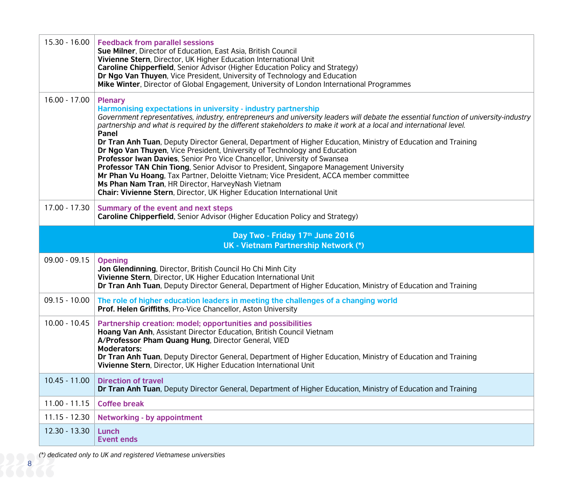| 15.30 - 16.00                                                           | <b>Feedback from parallel sessions</b><br>Sue Milner, Director of Education, East Asia, British Council<br>Vivienne Stern, Director, UK Higher Education International Unit<br>Caroline Chipperfield, Senior Advisor (Higher Education Policy and Strategy)<br>Dr Ngo Van Thuyen, Vice President, University of Technology and Education<br>Mike Winter, Director of Global Engagement, University of London International Programmes                                                                                                                                                                                                                                                                                                                                                                                                                                                                                                                |  |  |
|-------------------------------------------------------------------------|------------------------------------------------------------------------------------------------------------------------------------------------------------------------------------------------------------------------------------------------------------------------------------------------------------------------------------------------------------------------------------------------------------------------------------------------------------------------------------------------------------------------------------------------------------------------------------------------------------------------------------------------------------------------------------------------------------------------------------------------------------------------------------------------------------------------------------------------------------------------------------------------------------------------------------------------------|--|--|
| $16.00 - 17.00$                                                         | <b>Plenary</b><br>Harmonising expectations in university - industry partnership<br>Government representatives, industry, entrepreneurs and university leaders will debate the essential function of university-industry<br>partnership and what is required by the different stakeholders to make it work at a local and international level.<br>Panel<br>Dr Tran Anh Tuan, Deputy Director General, Department of Higher Education, Ministry of Education and Training<br>Dr Ngo Van Thuyen, Vice President, University of Technology and Education<br>Professor Iwan Davies, Senior Pro Vice Chancellor, University of Swansea<br>Professor TAN Chin Tiong, Senior Advisor to President, Singapore Management University<br>Mr Phan Vu Hoang, Tax Partner, Deloitte Vietnam; Vice President, ACCA member committee<br>Ms Phan Nam Tran, HR Director, HarveyNash Vietnam<br>Chair: Vivienne Stern, Director, UK Higher Education International Unit |  |  |
| 17.00 - 17.30                                                           | Summary of the event and next steps<br>Caroline Chipperfield, Senior Advisor (Higher Education Policy and Strategy)                                                                                                                                                                                                                                                                                                                                                                                                                                                                                                                                                                                                                                                                                                                                                                                                                                  |  |  |
| Day Two - Friday 17th June 2016<br>UK - Vietnam Partnership Network (*) |                                                                                                                                                                                                                                                                                                                                                                                                                                                                                                                                                                                                                                                                                                                                                                                                                                                                                                                                                      |  |  |
| $09.00 - 09.15$                                                         |                                                                                                                                                                                                                                                                                                                                                                                                                                                                                                                                                                                                                                                                                                                                                                                                                                                                                                                                                      |  |  |
|                                                                         | <b>Opening</b><br>Jon Glendinning, Director, British Council Ho Chi Minh City<br>Vivienne Stern, Director, UK Higher Education International Unit<br>Dr Tran Anh Tuan, Deputy Director General, Department of Higher Education, Ministry of Education and Training                                                                                                                                                                                                                                                                                                                                                                                                                                                                                                                                                                                                                                                                                   |  |  |
| $09.15 - 10.00$                                                         | The role of higher education leaders in meeting the challenges of a changing world<br>Prof. Helen Griffiths, Pro-Vice Chancellor, Aston University                                                                                                                                                                                                                                                                                                                                                                                                                                                                                                                                                                                                                                                                                                                                                                                                   |  |  |
| $10.00 - 10.45$                                                         | Partnership creation: model; opportunities and possibilities<br>Hoang Van Anh, Assistant Director Education, British Council Vietnam<br>A/Professor Pham Quang Hung, Director General, VIED<br><b>Moderators:</b><br>Dr Tran Anh Tuan, Deputy Director General, Department of Higher Education, Ministry of Education and Training<br>Vivienne Stern, Director, UK Higher Education International Unit                                                                                                                                                                                                                                                                                                                                                                                                                                                                                                                                               |  |  |
| $10.45 - 11.00$                                                         | <b>Direction of travel</b><br>Dr Tran Anh Tuan, Deputy Director General, Department of Higher Education, Ministry of Education and Training                                                                                                                                                                                                                                                                                                                                                                                                                                                                                                                                                                                                                                                                                                                                                                                                          |  |  |
| $11.00 - 11.15$                                                         | <b>Coffee break</b>                                                                                                                                                                                                                                                                                                                                                                                                                                                                                                                                                                                                                                                                                                                                                                                                                                                                                                                                  |  |  |
| 11.15 - 12.30                                                           | <b>Networking - by appointment</b>                                                                                                                                                                                                                                                                                                                                                                                                                                                                                                                                                                                                                                                                                                                                                                                                                                                                                                                   |  |  |

*(\*) dedicated only to UK and registered Vietnamese universities*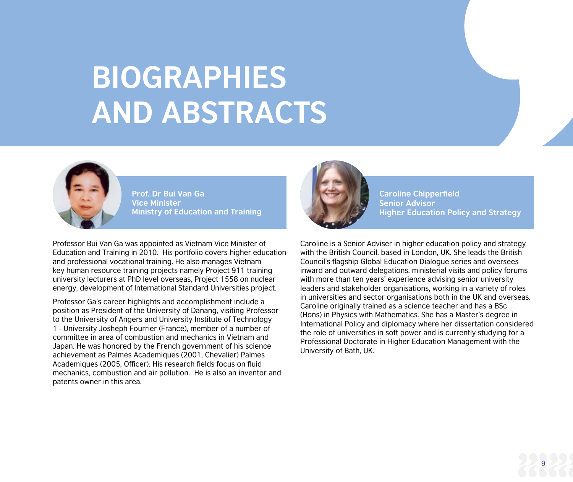## **BIOGRAPHIES AND ABSTRACTS**



**Prof. Dr Bui Van Ga Vice Minister Ministry of Education and Training**

Professor Bui Van Ga was appointed as Vietnam Vice Minister of Education and Training in 2010. His portfolio covers higher education and professional vocational training. He also manages Vietnam key human resource training projects namely Project 911 training university lecturers at PhD level overseas, Project 1558 on nuclear energy, development of International Standard Universities project.

Professor Ga's career highlights and accomplishment include a position as President of the University of Danang, visiting Professor to the University of Angers and University Institute of Technology 1 - University Josheph Fourrier (France), member of a number of committee in area of combustion and mechanics in Vietnam and Japan. He was honored by the French government of his science achievement as Palmes Academiques (2001, Chevalier) Palmes Academiques (2005, Officer). His research fields focus on fluid mechanics, combustion and air pollution. He is also an inventor and patents owner in this area.



**Caroline Chipperfield Senior Advisor Higher Education Policy and Strategy**

Caroline is a Senior Adviser in higher education policy and strategy with the British Council, based in London, UK. She leads the British Council's flagship Global Education Dialogue series and oversees inward and outward delegations, ministerial visits and policy forums with more than ten years' experience advising senior university leaders and stakeholder organisations, working in a variety of roles in universities and sector organisations both in the UK and overseas. Caroline originally trained as a science teacher and has a BSc (Hons) in Physics with Mathematics. She has a Master's degree in International Policy and diplomacy where her dissertation considered the role of universities in soft power and is currently studying for a Professional Doctorate in Higher Education Management with the University of Bath, UK.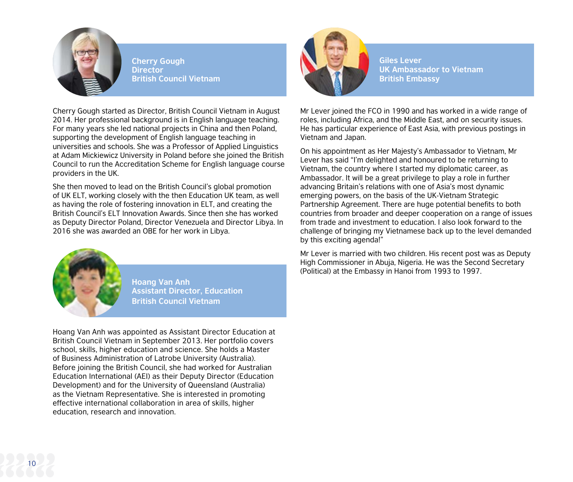

**Cherry Gough Director British Council Vietnam**

Cherry Gough started as Director, British Council Vietnam in August 2014. Her professional background is in English language teaching. For many years she led national projects in China and then Poland, supporting the development of English language teaching in universities and schools. She was a Professor of Applied Linguistics at Adam Mickiewicz University in Poland before she joined the British Council to run the Accreditation Scheme for English language course providers in the UK.

She then moved to lead on the British Council's global promotion of UK ELT, working closely with the then Education UK team, as well as having the role of fostering innovation in ELT, and creating the British Council's ELT Innovation Awards. Since then she has worked as Deputy Director Poland, Director Venezuela and Director Libya. In 2016 she was awarded an OBE for her work in Libya.



**Hoang Van Anh Assistant Director, Education British Council Vietnam**

Hoang Van Anh was appointed as Assistant Director Education at British Council Vietnam in September 2013. Her portfolio covers school, skills, higher education and science. She holds a Master of Business Administration of Latrobe University (Australia). Before joining the British Council, she had worked for Australian Education International (AEI) as their Deputy Director (Education Development) and for the University of Queensland (Australia) as the Vietnam Representative. She is interested in promoting effective international collaboration in area of skills, higher education, research and innovation.



**Giles Lever UK Ambassador to Vietnam British Embassy**

Mr Lever joined the FCO in 1990 and has worked in a wide range of roles, including Africa, and the Middle East, and on security issues. He has particular experience of East Asia, with previous postings in Vietnam and Japan.

On his appointment as Her Majesty's Ambassador to Vietnam, Mr Lever has said "I'm delighted and honoured to be returning to Vietnam, the country where I started my diplomatic career, as Ambassador. It will be a great privilege to play a role in further advancing Britain's relations with one of Asia's most dynamic emerging powers, on the basis of the UK-Vietnam Strategic Partnership Agreement. There are huge potential benefits to both countries from broader and deeper cooperation on a range of issues from trade and investment to education. I also look forward to the challenge of bringing my Vietnamese back up to the level demanded by this exciting agenda!"

Mr Lever is married with two children. His recent post was as Deputy High Commissioner in Abuja, Nigeria. He was the Second Secretary (Political) at the Embassy in Hanoi from 1993 to 1997.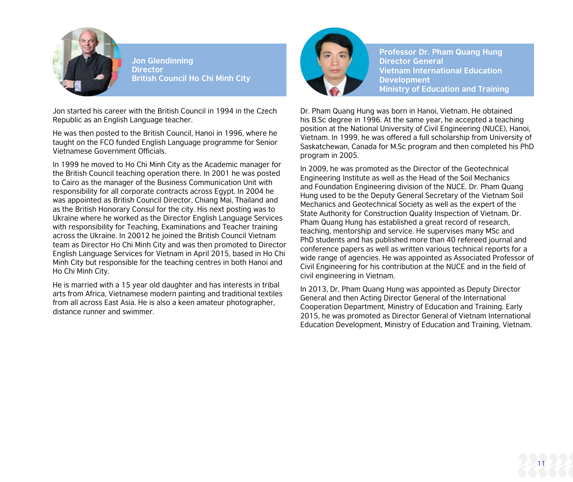

**Jon Glendinning Director British Council Ho Chi Minh City**

Jon started his career with the British Council in 1994 in the Czech Republic as an English Language teacher.

He was then posted to the British Council, Hanoi in 1996, where he taught on the FCO funded English Language programme for Senior Vietnamese Government Officials.

In 1999 he moved to Ho Chi Minh City as the Academic manager for the British Council teaching operation there. In 2001 he was posted to Cairo as the manager of the Business Communication Unit with responsibility for all corporate contracts across Egypt. In 2004 he was appointed as British Council Director, Chiang Mai, Thailand and as the British Honorary Consul for the city. His next posting was to Ukraine where he worked as the Director English Language Services with responsibility for Teaching, Examinations and Teacher training across the Ukraine. In 20012 he joined the British Council Vietnam team as Director Ho Chi Minh City and was then promoted to Director English Language Services for Vietnam in April 2015, based in Ho Chi Minh City but responsible for the teaching centres in both Hanoi and Ho Chi Minh City.

He is married with a 15 year old daughter and has interests in tribal arts from Africa, Vietnamese modern painting and traditional textiles from all across East Asia. He is also a keen amateur photographer, distance runner and swimmer.



**Professor Dr. Pham Quang Hung Director General Vietnam International Education Development Ministry of Education and Training**

Dr. Pham Quang Hung was born in Hanoi, Vietnam. He obtained his B.Sc degree in 1996. At the same year, he accepted a teaching position at the National University of Civil Engineering (NUCE), Hanoi, Vietnam. In 1999, he was offered a full scholarship from University of Saskatchewan, Canada for M.Sc program and then completed his PhD program in 2005.

In 2009, he was promoted as the Director of the Geotechnical Engineering Institute as well as the Head of the Soil Mechanics and Foundation Engineering division of the NUCE. Dr. Pham Quang Hung used to be the Deputy General Secretary of the Vietnam Soil Mechanics and Geotechnical Society as well as the expert of the State Authority for Construction Quality Inspection of Vietnam. Dr. Pham Quang Hung has established a great record of research, teaching, mentorship and service. He supervises many MSc and PhD students and has published more than 40 refereed journal and conference papers as well as written various technical reports for a wide range of agencies. He was appointed as Associated Professor of Civil Engineering for his contribution at the NUCE and in the field of civil engineering in Vietnam.

In 2013, Dr. Pham Quang Hung was appointed as Deputy Director General and then Acting Director General of the International Cooperation Department, Ministry of Education and Training. Early 2015, he was promoted as Director General of Vietnam International Education Development, Ministry of Education and Training, Vietnam.

11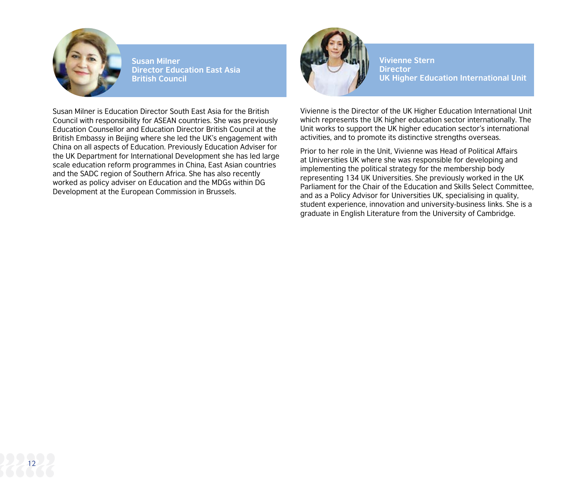

**Susan Milner Director Education East Asia British Council**

Susan Milner is Education Director South East Asia for the British Council with responsibility for ASEAN countries. She was previously Education Counsellor and Education Director British Council at the British Embassy in Beijing where she led the UK's engagement with China on all aspects of Education. Previously Education Adviser for the UK Department for International Development she has led large scale education reform programmes in China, East Asian countries and the SADC region of Southern Africa. She has also recently worked as policy adviser on Education and the MDGs within DG Development at the European Commission in Brussels.



**Vivienne Stern Director UK Higher Education International Unit**

Vivienne is the Director of the UK Higher Education International Unit which represents the UK higher education sector internationally. The Unit works to support the UK higher education sector's international activities, and to promote its distinctive strengths overseas.

Prior to her role in the Unit, Vivienne was Head of Political Affairs at Universities UK where she was responsible for developing and implementing the political strategy for the membership body representing 134 UK Universities. She previously worked in the UK Parliament for the Chair of the Education and Skills Select Committee, and as a Policy Advisor for Universities UK, specialising in quality, student experience, innovation and university-business links. She is a graduate in English Literature from the University of Cambridge.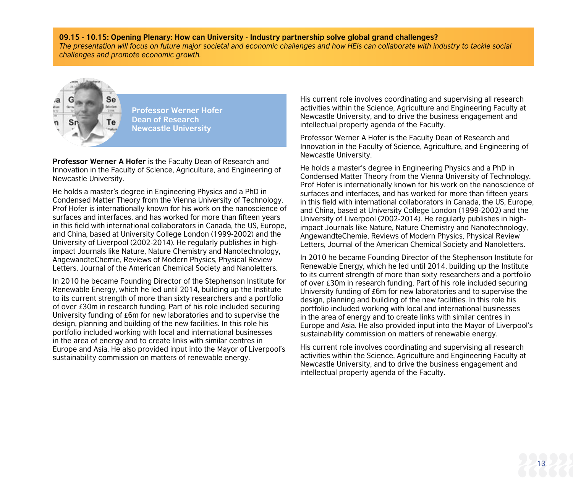#### **09.15 - 10.15: Opening Plenary: How can University - Industry partnership solve global grand challenges?**

*The presentation will focus on future major societal and economic challenges and how HEIs can collaborate with industry to tackle social challenges and promote economic growth.*



**Professor Werner Hofer Dean of Research Newcastle University**

**Professor Werner A Hofer** is the Faculty Dean of Research and Innovation in the Faculty of Science, Agriculture, and Engineering of Newcastle University.

He holds a master's degree in Engineering Physics and a PhD in Condensed Matter Theory from the Vienna University of Technology. Prof Hofer is internationally known for his work on the nanoscience of surfaces and interfaces, and has worked for more than fifteen years in this field with international collaborators in Canada, the US, Europe, and China, based at University College London (1999-2002) and the University of Liverpool (2002-2014). He regularly publishes in highimpact Journals like Nature, Nature Chemistry and Nanotechnology, AngewandteChemie, Reviews of Modern Physics, Physical Review Letters, Journal of the American Chemical Society and Nanoletters.

In 2010 he became Founding Director of the Stephenson Institute for Renewable Energy, which he led until 2014, building up the Institute to its current strength of more than sixty researchers and a portfolio of over £30m in research funding. Part of his role included securing University funding of £6m for new laboratories and to supervise the design, planning and building of the new facilities. In this role his portfolio included working with local and international businesses in the area of energy and to create links with similar centres in Europe and Asia. He also provided input into the Mayor of Liverpool's sustainability commission on matters of renewable energy.

His current role involves coordinating and supervising all research activities within the Science, Agriculture and Engineering Faculty at Newcastle University, and to drive the business engagement and intellectual property agenda of the Faculty.

Professor Werner A Hofer is the Faculty Dean of Research and Innovation in the Faculty of Science, Agriculture, and Engineering of Newcastle University.

He holds a master's degree in Engineering Physics and a PhD in Condensed Matter Theory from the Vienna University of Technology. Prof Hofer is internationally known for his work on the nanoscience of surfaces and interfaces, and has worked for more than fifteen years in this field with international collaborators in Canada, the US, Europe, and China, based at University College London (1999-2002) and the University of Liverpool (2002-2014). He regularly publishes in highimpact Journals like Nature, Nature Chemistry and Nanotechnology, AngewandteChemie, Reviews of Modern Physics, Physical Review Letters, Journal of the American Chemical Society and Nanoletters.

In 2010 he became Founding Director of the Stephenson Institute for Renewable Energy, which he led until 2014, building up the Institute to its current strength of more than sixty researchers and a portfolio of over £30m in research funding. Part of his role included securing University funding of £6m for new laboratories and to supervise the design, planning and building of the new facilities. In this role his portfolio included working with local and international businesses in the area of energy and to create links with similar centres in Europe and Asia. He also provided input into the Mayor of Liverpool's sustainability commission on matters of renewable energy.

His current role involves coordinating and supervising all research activities within the Science, Agriculture and Engineering Faculty at Newcastle University, and to drive the business engagement and intellectual property agenda of the Faculty.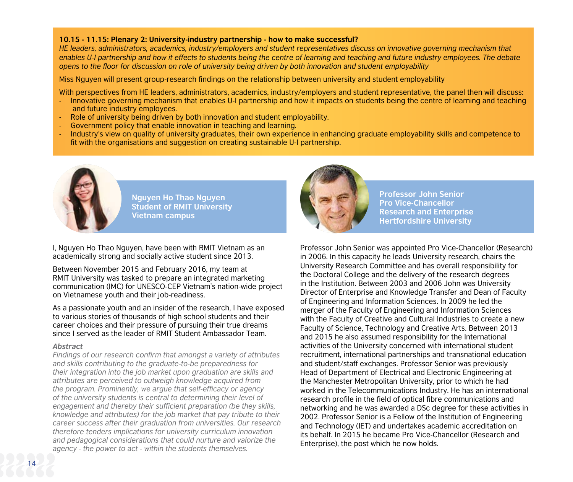#### **10.15 - 11.15: Plenary 2: University-industry partnership - how to make successful?**

*HE leaders, administrators, academics, industry/employers and student representatives discuss on innovative governing mechanism that enables U-I partnership and how it effects to students being the centre of learning and teaching and future industry employees. The debate opens to the floor for discussion on role of university being driven by both innovation and student employability*

Miss Nguyen will present group-research findings on the relationship between university and student employability

With perspectives from HE leaders, administrators, academics, industry/employers and student representative, the panel then will discuss:

- Innovative governing mechanism that enables U-I partnership and how it impacts on students being the centre of learning and teaching and future industry employees.
- Role of university being driven by both innovation and student employability.
- Government policy that enable innovation in teaching and learning.
- Industry's view on quality of university graduates, their own experience in enhancing graduate employability skills and competence to fit with the organisations and suggestion on creating sustainable U-I partnership.



**Nguyen Ho Thao Nguyen Student of RMIT University Vietnam campus**

I, Nguyen Ho Thao Nguyen, have been with RMIT Vietnam as an academically strong and socially active student since 2013.

Between November 2015 and February 2016, my team at RMIT University was tasked to prepare an integrated marketing communication (IMC) for UNESCO-CEP Vietnam's nation-wide project on Vietnamese youth and their job-readiness.

As a passionate youth and an insider of the research, I have exposed to various stories of thousands of high school students and their career choices and their pressure of pursuing their true dreams since I served as the leader of RMIT Student Ambassador Team.

#### *Abstract*

*Findings of our research confirm that amongst a variety of attributes and skills contributing to the graduate-to-be preparedness for their integration into the job market upon graduation are skills and attributes are perceived to outweigh knowledge acquired from the program. Prominently, we argue that self-efficacy or agency of the university students is central to determining their level of engagement and thereby their sufficient preparation (be they skills, knowledge and attributes) for the job market that pay tribute to their career success after their graduation from universities. Our research therefore tenders implications for university curriculum innovation and pedagogical considerations that could nurture and valorize the agency - the power to act - within the students themselves.*



**Professor John Senior Pro Vice-Chancellor Research and Enterprise Hertfordshire University**

Professor John Senior was appointed Pro Vice-Chancellor (Research) in 2006. In this capacity he leads University research, chairs the University Research Committee and has overall responsibility for the Doctoral College and the delivery of the research degrees in the Institution. Between 2003 and 2006 John was University Director of Enterprise and Knowledge Transfer and Dean of Faculty of Engineering and Information Sciences. In 2009 he led the merger of the Faculty of Engineering and Information Sciences with the Faculty of Creative and Cultural Industries to create a new Faculty of Science, Technology and Creative Arts. Between 2013 and 2015 he also assumed responsibility for the International activities of the University concerned with international student recruitment, international partnerships and transnational education and student/staff exchanges. Professor Senior was previously Head of Department of Electrical and Electronic Engineering at the Manchester Metropolitan University, prior to which he had worked in the Telecommunications Industry. He has an international research profile in the field of optical fibre communications and networking and he was awarded a DSc degree for these activities in 2002. Professor Senior is a Fellow of the Institution of Engineering and Technology (IET) and undertakes academic accreditation on its behalf. In 2015 he became Pro Vice-Chancellor (Research and Enterprise), the post which he now holds.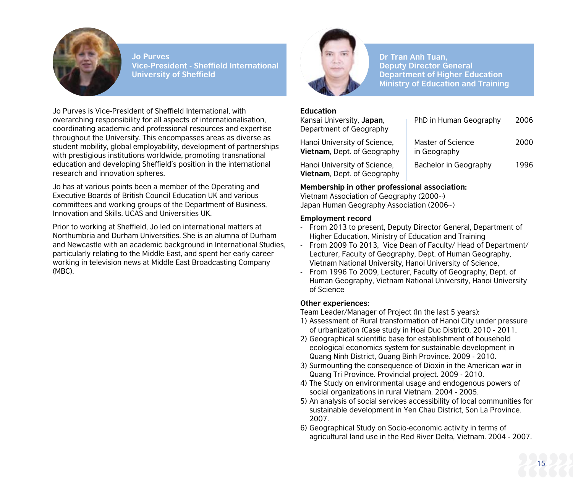

**Jo Purves Vice-President - Sheffield International University of Sheffield**

Jo Purves is Vice-President of Sheffield International, with overarching responsibility for all aspects of internationalisation, coordinating academic and professional resources and expertise throughout the University. This encompasses areas as diverse as student mobility, global employability, development of partnerships with prestigious institutions worldwide, promoting transnational education and developing Sheffield's position in the international research and innovation spheres.

Jo has at various points been a member of the Operating and Executive Boards of British Council Education UK and various committees and working groups of the Department of Business, Innovation and Skills, UCAS and Universities UK.

Prior to working at Sheffield, Jo led on international matters at Northumbria and Durham Universities. She is an alumna of Durham and Newcastle with an academic background in International Studies, particularly relating to the Middle East, and spent her early career working in television news at Middle East Broadcasting Company (MBC).



**Dr Tran Anh Tuan, Deputy Director General Department of Higher Education Ministry of Education and Training**

#### **Education**

| Kansai University, Japan,<br>Department of Geography                | PhD in Human Geography            | 2006 |
|---------------------------------------------------------------------|-----------------------------------|------|
| Hanoi University of Science,<br><b>Vietnam</b> , Dept. of Geography | Master of Science<br>in Geography | 2000 |
| Hanoi University of Science,<br><b>Vietnam</b> , Dept. of Geography | Bachelor in Geography             | 1996 |

#### **Membership in other professional association:**

Vietnam Association of Geography (2000~) Japan Human Geography Association (2006~)

#### **Employment record**

- From 2013 to present, Deputy Director General, Department of Higher Education, Ministry of Education and Training
- From 2009 To 2013, Vice Dean of Faculty/ Head of Department/ Lecturer, Faculty of Geography, Dept. of Human Geography, Vietnam National University, Hanoi University of Science,
- From 1996 To 2009, Lecturer, Faculty of Geography, Dept. of Human Geography, Vietnam National University, Hanoi University of Science

#### **Other experiences:**

Team Leader/Manager of Project (In the last 5 years):

- 1) Assessment of Rural transformation of Hanoi City under pressure of urbanization (Case study in Hoai Duc District). 2010 - 2011.
- 2) Geographical scientific base for establishment of household ecological economics system for sustainable development in Quang Ninh District, Quang Binh Province. 2009 - 2010.
- 3) Surmounting the consequence of Dioxin in the American war in Quang Tri Province. Provincial project. 2009 - 2010.
- 4) The Study on environmental usage and endogenous powers of social organizations in rural Vietnam. 2004 - 2005.
- 5) An analysis of social services accessibility of local communities for sustainable development in Yen Chau District, Son La Province. 2007.
- 6) Geographical Study on Socio-economic activity in terms of agricultural land use in the Red River Delta, Vietnam. 2004 - 2007.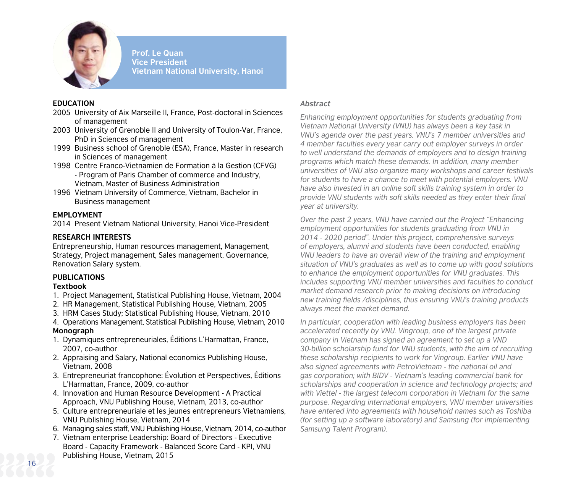

**Prof. Le Quan Vice President Vietnam National University, Hanoi**

#### **EDUCATION**

- 2005 University of Aix Marseille II, France, Post-doctoral in Sciences of management
- 2003 University of Grenoble II and University of Toulon-Var, France, PhD in Sciences of management
- 1999 Business school of Grenoble (ESA), France, Master in research in Sciences of management
- 1998 Centre Franco-Vietnamien de Formation à la Gestion (CFVG) - Program of Paris Chamber of commerce and Industry, Vietnam, Master of Business Administration
- 1996 Vietnam University of Commerce, Vietnam, Bachelor in Business management

#### **EMPLOYMENT**

2014 Present Vietnam National University, Hanoi Vice-President

#### **RESEARCH INTERESTS**

Entrepreneurship, Human resources management, Management, Strategy, Project management, Sales management, Governance, Renovation Salary system.

#### **PUBLICATIONS**

#### **Textbook**

- 1. Project Management, Statistical Publishing House, Vietnam, 2004
- 2. HR Management, Statistical Publishing House, Vietnam, 2005
- 3. HRM Cases Study; Statistical Publishing House, Vietnam, 2010
- 4. Operations Management, Statistical Publishing House, Vietnam, 2010

#### **Monograph**

- 1. Dynamiques entrepreneuriales, Éditions L'Harmattan, France, 2007, co-author
- 2. Appraising and Salary, National economics Publishing House, Vietnam, 2008
- 3. Entrepreneuriat francophone: Évolution et Perspectives, Éditions L'Harmattan, France, 2009, co-author
- 4. Innovation and Human Resource Development A Practical Approach, VNU Publishing House, Vietnam, 2013, co-author
- 5. Culture entrepreneuriale et les jeunes entrepreneurs Vietnamiens, VNU Publishing House, Vietnam, 2014
- 6. Managing sales staff, VNU Publishing House, Vietnam, 2014, co-author
- 7. Vietnam enterprise Leadership: Board of Directors Executive Board - Capacity Framework - Balanced Score Card - KPI, VNU Publishing House, Vietnam, 2015

#### *Abstract*

*Enhancing employment opportunities for students graduating from Vietnam National University (VNU) has always been a key task in VNU's agenda over the past years. VNU's 7 member universities and 4 member faculties every year carry out employer surveys in order to well understand the demands of employers and to design training programs which match these demands. In addition, many member universities of VNU also organize many workshops and career festivals for students to have a chance to meet with potential employers. VNU have also invested in an online soft skills training system in order to provide VNU students with soft skills needed as they enter their final year at university.*

*Over the past 2 years, VNU have carried out the Project "Enhancing employment opportunities for students graduating from VNU in 2014 - 2020 period". Under this project, comprehensive surveys of employers, alumni and students have been conducted, enabling VNU leaders to have an overall view of the training and employment situation of VNU's graduates as well as to come up with good solutions to enhance the employment opportunities for VNU graduates. This includes supporting VNU member universities and faculties to conduct market demand research prior to making decisions on introducing new training fields /disciplines, thus ensuring VNU's training products always meet the market demand.*

*In particular, cooperation with leading business employers has been accelerated recently by VNU. Vingroup, one of the largest private company in Vietnam has signed an agreement to set up a VND 30-billion scholarship fund for VNU students, with the aim of recruiting these scholarship recipients to work for Vingroup. Earlier VNU have also signed agreements with PetroVietnam - the national oil and gas corporation; with BIDV - Vietnam's leading commercial bank for scholarships and cooperation in science and technology projects; and with Viettel - the largest telecom corporation in Vietnam for the same purpose. Regarding international employers, VNU member universities have entered into agreements with household names such as Toshiba (for setting up a software laboratory) and Samsung (for implementing Samsung Talent Program).*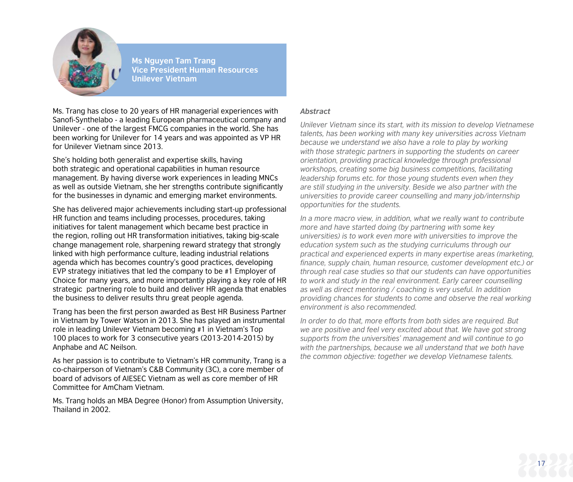

**Ms Nguyen Tam Trang Vice President Human Resources Unilever Vietnam**

Ms. Trang has close to 20 years of HR managerial experiences with Sanofi-Synthelabo - a leading European pharmaceutical company and Unilever - one of the largest FMCG companies in the world. She has been working for Unilever for 14 years and was appointed as VP HR for Unilever Vietnam since 2013.

She's holding both generalist and expertise skills, having both strategic and operational capabilities in human resource management. By having diverse work experiences in leading MNCs as well as outside Vietnam, she her strengths contribute significantly for the businesses in dynamic and emerging market environments.

She has delivered major achievements including start-up professional HR function and teams including processes, procedures, taking initiatives for talent management which became best practice in the region, rolling out HR transformation initiatives, taking big-scale change management role, sharpening reward strategy that strongly linked with high performance culture, leading industrial relations agenda which has becomes country's good practices, developing EVP strategy initiatives that led the company to be #1 Employer of Choice for many years, and more importantly playing a key role of HR strategic partnering role to build and deliver HR agenda that enables the business to deliver results thru great people agenda.

Trang has been the first person awarded as Best HR Business Partner in Vietnam by Tower Watson in 2013. She has played an instrumental role in leading Unilever Vietnam becoming #1 in Vietnam's Top 100 places to work for 3 consecutive years (2013-2014-2015) by Anphabe and AC Neilson.

As her passion is to contribute to Vietnam's HR community, Trang is a co-chairperson of Vietnam's C&B Community (3C), a core member of board of advisors of AIESEC Vietnam as well as core member of HR Committee for AmCham Vietnam.

Ms. Trang holds an MBA Degree (Honor) from Assumption University, Thailand in 2002.

#### *Abstract*

*Unilever Vietnam since its start, with its mission to develop Vietnamese talents, has been working with many key universities across Vietnam because we understand we also have a role to play by working with those strategic partners in supporting the students on career orientation, providing practical knowledge through professional workshops, creating some big business competitions, facilitating leadership forums etc. for those young students even when they are still studying in the university. Beside we also partner with the universities to provide career counselling and many job/internship opportunities for the students.*

*In a more macro view, in addition, what we really want to contribute more and have started doing (by partnering with some key universities) is to work even more with universities to improve the education system such as the studying curriculums through our practical and experienced experts in many expertise areas (marketing, finance, supply chain, human resource, customer development etc.) or through real case studies so that our students can have opportunities to work and study in the real environment. Early career counselling as well as direct mentoring / coaching is very useful. In addition providing chances for students to come and observe the real working environment is also recommended.*

*In order to do that, more efforts from both sides are required. But we are positive and feel very excited about that. We have got strong supports from the universities' management and will continue to go with the partnerships, because we all understand that we both have the common objective: together we develop Vietnamese talents.*

17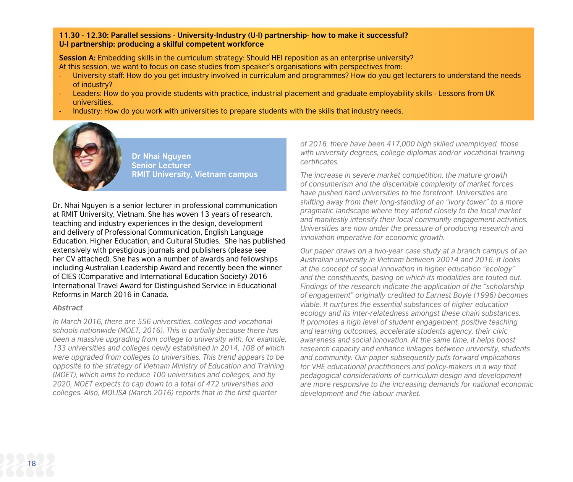#### **11.30 - 12.30: Parallel sessions - University-Industry (U-I) partnership- how to make it successful? U-I partnership: producing a skilful competent workforce**

**Session A:** Embedding skills in the curriculum strategy: Should HEI reposition as an enterprise university? At this session, we want to focus on case studies from speaker's organisations with perspectives from:

- University staff: How do you get industry involved in curriculum and programmes? How do you get lecturers to understand the needs of industry?
- Leaders: How do you provide students with practice, industrial placement and graduate employability skills Lessons from UK universities.
- Industry: How do you work with universities to prepare students with the skills that industry needs.



**Dr Nhai Nguyen Senior Lecturer RMIT University, Vietnam campus**

Dr. Nhai Nguyen is a senior lecturer in professional communication at RMIT University, Vietnam. She has woven 13 years of research, teaching and industry experiences in the design, development and delivery of Professional Communication, English Language Education, Higher Education, and Cultural Studies. She has published extensively with prestigious journals and publishers (please see her CV attached). She has won a number of awards and fellowships including Australian Leadership Award and recently been the winner of CIES (Comparative and International Education Society) 2016 International Travel Award for Distinguished Service in Educational Reforms in March 2016 in Canada.

#### *Abstract*

*In March 2016, there are 556 universities, colleges and vocational schools nationwide (MOET, 2016). This is partially because there has been a massive upgrading from college to university with, for example, 133 universities and colleges newly established in 2014, 108 of which were upgraded from colleges to universities. This trend appears to be opposite to the strategy of Vietnam Ministry of Education and Training (MOET), which aims to reduce 100 universities and colleges, and by 2020, MOET expects to cap down to a total of 472 universities and colleges. Also, MOLISA (March 2016) reports that in the first quarter* 

*of 2016, there have been 417,000 high skilled unemployed, those with university degrees, college diplomas and/or vocational training certificates.*

*The increase in severe market competition, the mature growth of consumerism and the discernible complexity of market forces have pushed hard universities to the forefront. Universities are shifting away from their long-standing of an "ivory tower" to a more pragmatic landscape where they attend closely to the local market and manifestly intensify their local community engagement activities. Universities are now under the pressure of producing research and innovation imperative for economic growth.* 

*Our paper draws on a two-year case study at a branch campus of an Australian university in Vietnam between 20014 and 2016. It looks at the concept of social innovation in higher education "ecology" and the constituents, basing on which its modalities are touted out. Findings of the research indicate the application of the "scholarship of engagement" originally credited to Earnest Boyle (1996) becomes viable. It nurtures the essential substances of higher education ecology and its inter-relatedness amongst these chain substances. It promotes a high level of student engagement, positive teaching and learning outcomes, accelerate students agency, their civic awareness and social innovation. At the same time, it helps boost research capacity and enhance linkages between university, students and community. Our paper subsequently puts forward implications for VHE educational practitioners and policy-makers in a way that pedagogical considerations of curriculum design and development are more responsive to the increasing demands for national economic development and the labour market.*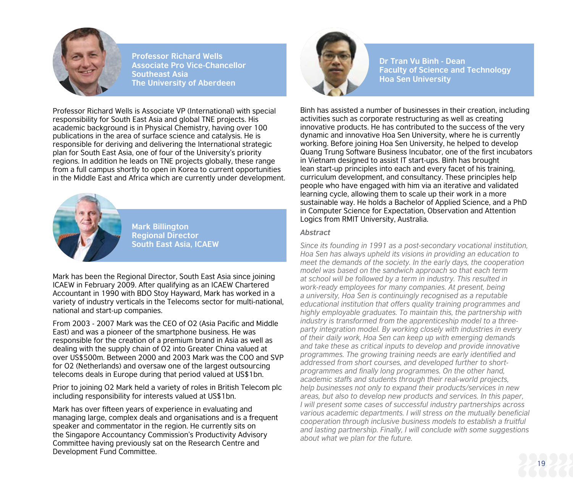

**Professor Richard Wells Associate Pro Vice-Chancellor Southeast Asia The University of Aberdeen**

Professor Richard Wells is Associate VP (International) with special responsibility for South East Asia and global TNE projects. His academic background is in Physical Chemistry, having over 100 publications in the area of surface science and catalysis. He is responsible for deriving and delivering the International strategic plan for South East Asia, one of four of the University's priority regions. In addition he leads on TNE projects globally, these range from a full campus shortly to open in Korea to current opportunities in the Middle East and Africa which are currently under development.



**Mark Billington Regional Director South East Asia, ICAEW**

Mark has been the Regional Director, South East Asia since joining ICAEW in February 2009. After qualifying as an ICAEW Chartered Accountant in 1990 with BDO Stoy Hayward, Mark has worked in a variety of industry verticals in the Telecoms sector for multi-national, national and start-up companies.

From 2003 - 2007 Mark was the CEO of O2 (Asia Pacific and Middle East) and was a pioneer of the smartphone business. He was responsible for the creation of a premium brand in Asia as well as dealing with the supply chain of O2 into Greater China valued at over US\$500m. Between 2000 and 2003 Mark was the COO and SVP for O2 (Netherlands) and oversaw one of the largest outsourcing telecoms deals in Europe during that period valued at US\$1bn.

Prior to joining O2 Mark held a variety of roles in British Telecom plc including responsibility for interests valued at US\$1bn.

Mark has over fifteen years of experience in evaluating and managing large, complex deals and organisations and is a frequent speaker and commentator in the region. He currently sits on the Singapore Accountancy Commission's Productivity Advisory Committee having previously sat on the Research Centre and Development Fund Committee.



**Dr Tran Vu Binh - Dean Faculty of Science and Technology Hoa Sen University**

Bình has assisted a number of businesses in their creation, including activities such as corporate restructuring as well as creating innovative products. He has contributed to the success of the very dynamic and innovative Hoa Sen University, where he is currently working. Before joining Hoa Sen University, he helped to develop Quang Trung Software Business Incubator, one of the first incubators in Vietnam designed to assist IT start-ups. Bình has brought lean start-up principles into each and every facet of his training, curriculum development, and consultancy. These principles help people who have engaged with him via an iterative and validated learning cycle, allowing them to scale up their work in a more sustainable way. He holds a Bachelor of Applied Science, and a PhD in Computer Science for Expectation, Observation and Attention Logics from RMIT University, Australia.

#### *Abstract*

*Since its founding in 1991 as a post-secondary vocational institution, Hoa Sen has always upheld its visions in providing an education to meet the demands of the society. In the early days, the cooperation model was based on the sandwich approach so that each term at school will be followed by a term in industry. This resulted in work-ready employees for many companies. At present, being a university, Hoa Sen is continuingly recognised as a reputable educational institution that offers quality training programmes and highly employable graduates. To maintain this, the partnership with industry is transformed from the apprenticeship model to a threeparty integration model. By working closely with industries in every of their daily work, Hoa Sen can keep up with emerging demands and take these as critical inputs to develop and provide innovative programmes. The growing training needs are early identified and addressed from short courses, and developed further to shortprogrammes and finally long programmes. On the other hand, academic staffs and students through their real-world projects, help businesses not only to expand their products/services in new areas, but also to develop new products and services. In this paper, I will present some cases of successful industry partnerships across various academic departments. I will stress on the mutually beneficial cooperation through inclusive business models to establish a fruitful and lasting partnership. Finally, I will conclude with some suggestions about what we plan for the future.*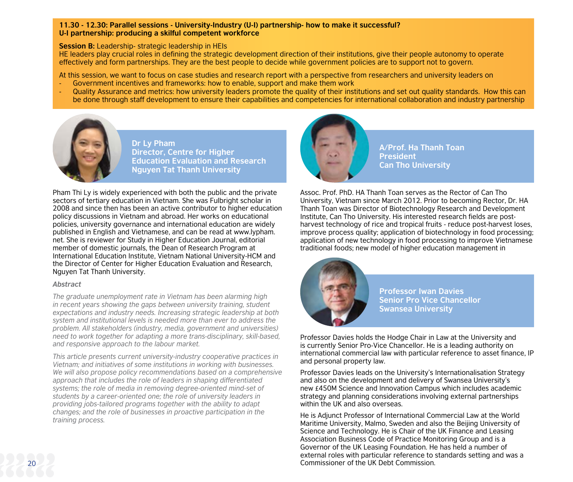#### **11.30 - 12.30: Parallel sessions - University-Industry (U-I) partnership- how to make it successful? U-I partnership: producing a skilful competent workforce**

#### **Session B:** Leadership- strategic leadership in HEIs

HE leaders play crucial roles in defining the strategic development direction of their institutions, give their people autonomy to operate effectively and form partnerships. They are the best people to decide while government policies are to support not to govern.

At this session, we want to focus on case studies and research report with a perspective from researchers and university leaders on

- Government incentives and frameworks: how to enable, support and make them work
- Quality Assurance and metrics: how university leaders promote the quality of their institutions and set out quality standards. How this can be done through staff development to ensure their capabilities and competencies for international collaboration and industry partnership



**Dr Ly Pham Director, Centre for Higher Education Evaluation and Research Nguyen Tat Thanh University**

Pham Thi Ly is widely experienced with both the public and the private sectors of tertiary education in Vietnam. She was Fulbright scholar in 2008 and since then has been an active contributor to higher education policy discussions in Vietnam and abroad. Her works on educational policies, university governance and international education are widely published in English and Vietnamese, and can be read at [www.lypham.](http://www.lypham.net) [net.](http://www.lypham.net) She is reviewer for Study in Higher Education Journal, editorial member of domestic journals, the Dean of Research Program at International Education Institute, Vietnam National University-HCM and the Director of Center for Higher Education Evaluation and Research, Nguyen Tat Thanh University.

#### *Abstract*

*The graduate unemployment rate in Vietnam has been alarming high in recent years showing the gaps between university training, student expectations and industry needs. Increasing strategic leadership at both system and institutional levels is needed more than ever to address the problem. All stakeholders (industry, media, government and universities) need to work together for adapting a more trans-disciplinary, skill-based, and responsive approach to the labour market.* 

*This article presents current university-industry cooperative practices in Vietnam; and initiatives of some institutions in working with businesses. We will also propose policy recommendations based on a comprehensive approach that includes the role of leaders in shaping differentiated systems; the role of media in removing degree-oriented mind-set of students by a career-oriented one; the role of university leaders in providing jobs-tailored programs together with the ability to adapt changes; and the role of businesses in proactive participation in the training process.*



**A/Prof. Ha Thanh Toan President Can Tho University**

Assoc. Prof. PhD. HA Thanh Toan serves as the Rector of Can Tho University, Vietnam since March 2012. Prior to becoming Rector, Dr. HA Thanh Toan was Director of Biotechnology Research and Development Institute, Can Tho University. His interested research fields are postharvest technology of rice and tropical fruits - reduce post-harvest loses, improve process quality; application of biotechnology in food processing; application of new technology in food processing to improve Vietnamese traditional foods; new model of higher education management in



**Professor Iwan Davies Senior Pro Vice Chancellor Swansea University**

Professor Davies holds the Hodge Chair in Law at the University and is currently Senior Pro-Vice Chancellor. He is a leading authority on international commercial law with particular reference to asset finance, IP and personal property law.

Professor Davies leads on the University's Internationalisation Strategy and also on the development and delivery of Swansea University's new £450M Science and Innovation Campus which includes academic strategy and planning considerations involving external partnerships within the UK and also overseas.

He is Adjunct Professor of International Commercial Law at the World Maritime University, Malmo, Sweden and also the Beijing University of Science and Technology. He is Chair of the UK Finance and Leasing Association Business Code of Practice Monitoring Group and is a Governor of the UK Leasing Foundation. He has held a number of external roles with particular reference to standards setting and was a Commissioner of the UK Debt Commission.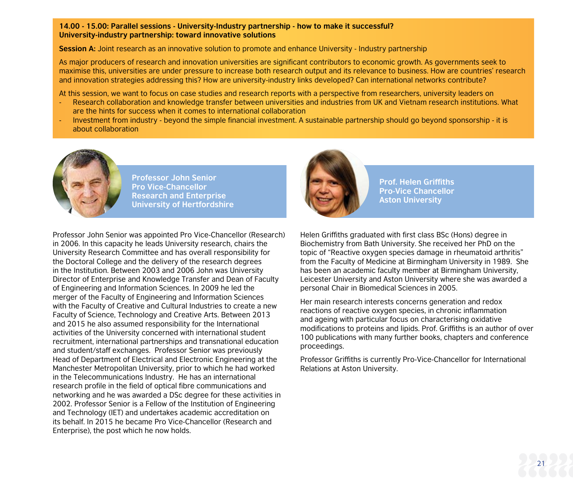#### **14.00 - 15.00: Parallel sessions - University-Industry partnership - how to make it successful? University-industry partnership: toward innovative solutions**

**Session A:** Joint research as an innovative solution to promote and enhance University - Industry partnership

As major producers of research and innovation universities are significant contributors to economic growth. As governments seek to maximise this, universities are under pressure to increase both research output and its relevance to business. How are countries' research and innovation strategies addressing this? How are university-industry links developed? Can international networks contribute?

At this session, we want to focus on case studies and research reports with a perspective from researchers, university leaders on

- Research collaboration and knowledge transfer between universities and industries from UK and Vietnam research institutions. What are the hints for success when it comes to international collaboration
- Investment from industry beyond the simple financial investment. A sustainable partnership should go beyond sponsorship it is about collaboration



**Professor John Senior Pro Vice-Chancellor Research and Enterprise University of Hertfordshire**

Professor John Senior was appointed Pro Vice-Chancellor (Research) in 2006. In this capacity he leads University research, chairs the University Research Committee and has overall responsibility for the Doctoral College and the delivery of the research degrees in the Institution. Between 2003 and 2006 John was University Director of Enterprise and Knowledge Transfer and Dean of Faculty of Engineering and Information Sciences. In 2009 he led the merger of the Faculty of Engineering and Information Sciences with the Faculty of Creative and Cultural Industries to create a new Faculty of Science, Technology and Creative Arts. Between 2013 and 2015 he also assumed responsibility for the International activities of the University concerned with international student recruitment, international partnerships and transnational education and student/staff exchanges. Professor Senior was previously Head of Department of Electrical and Electronic Engineering at the Manchester Metropolitan University, prior to which he had worked in the Telecommunications Industry. He has an international research profile in the field of optical fibre communications and networking and he was awarded a DSc degree for these activities in 2002. Professor Senior is a Fellow of the Institution of Engineering and Technology (IET) and undertakes academic accreditation on its behalf. In 2015 he became Pro Vice-Chancellor (Research and Enterprise), the post which he now holds.



**Prof. Helen Griffiths Pro-Vice Chancellor Aston University**

Helen Griffiths graduated with first class BSc (Hons) degree in Biochemistry from Bath University. She received her PhD on the topic of "Reactive oxygen species damage in rheumatoid arthritis" from the Faculty of Medicine at Birmingham University in 1989. She has been an academic faculty member at Birmingham University, Leicester University and Aston University where she was awarded a personal Chair in Biomedical Sciences in 2005.

Her main research interests concerns generation and redox reactions of reactive oxygen species, in chronic inflammation and ageing with particular focus on characterising oxidative modifications to proteins and lipids. Prof. Griffiths is an author of over 100 publications with many further books, chapters and conference proceedings.

Professor Griffiths is currently Pro-Vice-Chancellor for International Relations at Aston University.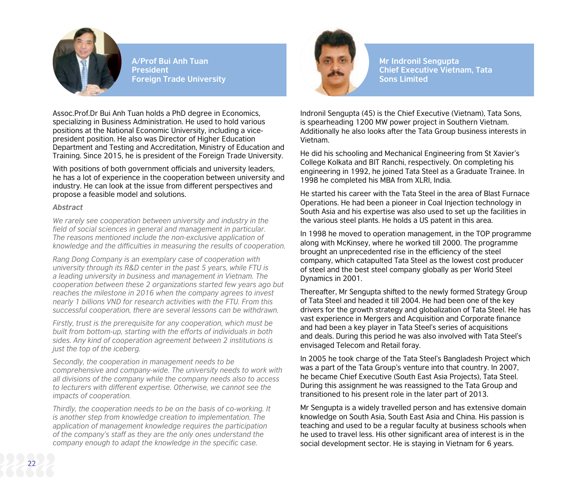

**A/Prof Bui Anh Tuan President Foreign Trade University**

Assoc.Prof.Dr Bui Anh Tuan holds a PhD degree in Economics, specializing in Business Administration. He used to hold various positions at the National Economic University, including a vicepresident position. He also was Director of Higher Education Department and Testing and Accreditation, Ministry of Education and Training. Since 2015, he is president of the Foreign Trade University.

With positions of both government officials and university leaders. he has a lot of experience in the cooperation between university and industry. He can look at the issue from different perspectives and propose a feasible model and solutions.

#### *Abstract*

*We rarely see cooperation between university and industry in the field of social sciences in general and management in particular. The reasons mentioned include the non-exclusive application of knowledge and the difficulties in measuring the results of cooperation.*

*Rang Dong Company is an exemplary case of cooperation with university through its R&D center in the past 5 years, while FTU is a leading university in business and management in Vietnam. The cooperation between these 2 organizations started few years ago but reaches the milestone in 2016 when the company agrees to invest nearly 1 billions VND for research activities with the FTU. From this successful cooperation, there are several lessons can be withdrawn.*

*Firstly, trust is the prerequisite for any cooperation, which must be built from bottom-up, starting with the efforts of individuals in both sides. Any kind of cooperation agreement between 2 institutions is just the top of the iceberg.* 

*Secondly, the cooperation in management needs to be comprehensive and company-wide. The university needs to work with all divisions of the company while the company needs also to access to lecturers with different expertise. Otherwise, we cannot see the impacts of cooperation.*

*Thirdly, the cooperation needs to be on the basis of co-working. It is another step from knowledge creation to implementation. The application of management knowledge requires the participation of the company's staff as they are the only ones understand the company enough to adapt the knowledge in the specific case.* 



**Mr Indronil Sengupta Chief Executive Vietnam, Tata Sons Limited**

Indronil Sengupta (45) is the Chief Executive (Vietnam), Tata Sons, is spearheading 1200 MW power project in Southern Vietnam. Additionally he also looks after the Tata Group business interests in Vietnam.

He did his schooling and Mechanical Engineering from St Xavier's College Kolkata and BIT Ranchi, respectively. On completing his engineering in 1992, he joined Tata Steel as a Graduate Trainee. In 1998 he completed his MBA from XLRI, India.

He started his career with the Tata Steel in the area of Blast Furnace Operations. He had been a pioneer in Coal Injection technology in South Asia and his expertise was also used to set up the facilities in the various steel plants. He holds a US patent in this area.

In 1998 he moved to operation management, in the TOP programme along with McKinsey, where he worked till 2000. The programme brought an unprecedented rise in the efficiency of the steel company, which catapulted Tata Steel as the lowest cost producer of steel and the best steel company globally as per World Steel Dynamics in 2001.

Thereafter, Mr Sengupta shifted to the newly formed Strategy Group of Tata Steel and headed it till 2004. He had been one of the key drivers for the growth strategy and globalization of Tata Steel. He has vast experience in Mergers and Acquisition and Corporate finance and had been a key player in Tata Steel's series of acquisitions and deals. During this period he was also involved with Tata Steel's envisaged Telecom and Retail foray.

In 2005 he took charge of the Tata Steel's Bangladesh Project which was a part of the Tata Group's venture into that country. In 2007, he became Chief Executive (South East Asia Projects), Tata Steel. During this assignment he was reassigned to the Tata Group and transitioned to his present role in the later part of 2013.

Mr Sengupta is a widely travelled person and has extensive domain knowledge on South Asia, South East Asia and China. His passion is teaching and used to be a regular faculty at business schools when he used to travel less. His other significant area of interest is in the social development sector. He is staying in Vietnam for 6 years.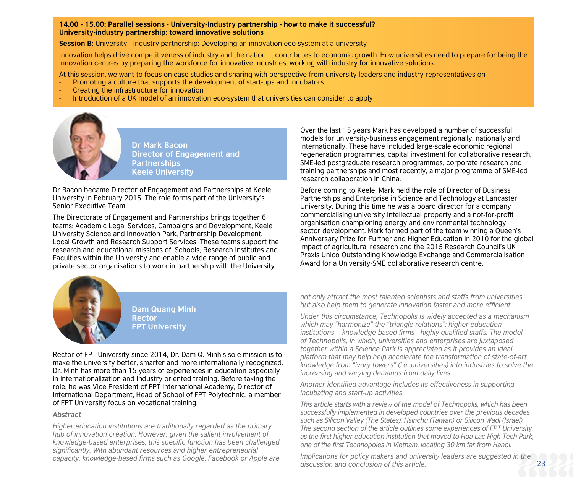#### **14.00 - 15.00: Parallel sessions - University-Industry partnership - how to make it successful? University-industry partnership: toward innovative solutions**

**Session B:** University - Industry partnership: Developing an innovation eco system at a university

Innovation helps drive competitiveness of industry and the nation. It contributes to economic growth. How universities need to prepare for being the innovation centres by preparing the workforce for innovative industries, working with industry for innovative solutions.

At this session, we want to focus on case studies and sharing with perspective from university leaders and industry representatives on

- Promoting a culture that supports the development of start-ups and incubators
- Creating the infrastructure for innovation
- Introduction of a UK model of an innovation eco-system that universities can consider to apply



**Dr Mark Bacon Director of Engagement and Partnerships Keele University**

Dr Bacon became Director of Engagement and Partnerships at Keele University in February 2015. The role forms part of the University's Senior Executive Team.

The Directorate of Engagement and Partnerships brings together 6 teams: Academic Legal Services, Campaigns and Development, Keele University Science and Innovation Park, Partnership Development, Local Growth and Research Support Services. These teams support the research and educational missions of Schools, Research Institutes and Faculties within the University and enable a wide range of public and private sector organisations to work in partnership with the University.

Over the last 15 years Mark has developed a number of successful models for university-business engagement regionally, nationally and internationally. These have included large-scale economic regional regeneration programmes, capital investment for collaborative research, SME-led postgraduate research programmes, corporate research and training partnerships and most recently, a major programme of SME-led research collaboration in China.

Before coming to Keele, Mark held the role of Director of Business Partnerships and Enterprise in Science and Technology at Lancaster University. During this time he was a board director for a company commercialising university intellectual property and a not-for-profit organisation championing energy and environmental technology sector development. Mark formed part of the team winning a Queen's Anniversary Prize for Further and Higher Education in 2010 for the global impact of agricultural research and the 2015 Research Council's UK Praxis Unico Outstanding Knowledge Exchange and Commercialisation Award for a University-SME collaborative research centre.



**Dam Quang Minh Rector FPT University**

Rector of FPT University since 2014, Dr. Dam Q. Minh's sole mission is to make the university better, smarter and more internationally recognized. Dr. Minh has more than 15 years of experiences in education especially in internationalization and Industry oriented training. Before taking the role, he was Vice President of FPT International Academy; Director of International Department; Head of School of FPT Polytechnic, a member of FPT University focus on vocational training.

#### *Abstract*

*Higher education institutions are traditionally regarded as the primary hub of innovation creation. However, given the salient involvement of knowledge-based enterprises, this specific function has been challenged significantly. With abundant resources and higher entrepreneurial capacity, knowledge-based firms such as Google, Facebook or Apple are*  *not only attract the most talented scientists and staffs from universities but also help them to generate innovation faster and more efficient.* 

*Under this circumstance, Technopolis is widely accepted as a mechanism which may "harmonize" the "triangle relations": higher education institutions - knowledge-based firms - highly qualified staffs. The model of Technopolis, in which, universities and enterprises are juxtaposed together within a Science Park is appreciated as it provides an ideal platform that may help help accelerate the transformation of state-of-art knowledge from "ivory towers" (i.e. universities) into industries to solve the increasing and varying demands from daily lives.* 

*Another identified advantage includes its effectiveness in supporting incubating and start-up activities.* 

*This article starts with a review of the model of Technopolis, which has been successfully implemented in developed countries over the previous decades such as Silicon Valley (The States), Hsinchu (Taiwan) or Silicon Wadi (Israel). The second section of the article outlines some experiences of FPT University as the first higher education institution that moved to Hoa Lac High Tech Park, one of the first Technopoles in Vietnam, locating 30 km far from Hanoi.* 

*Implications for policy makers and university leaders are suggested in the discussion and conclusion of this article.*

23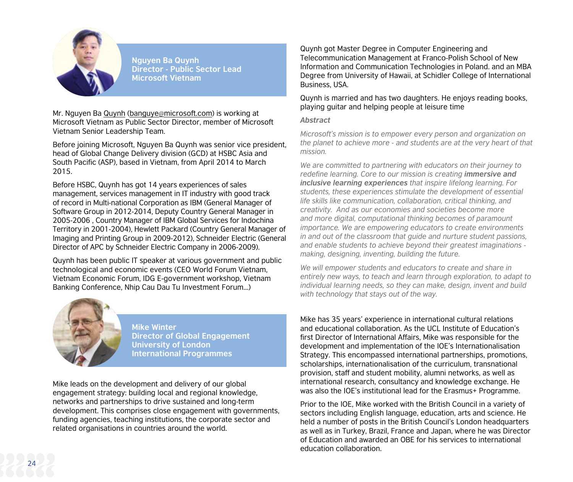

**Nguyen Ba Quynh Director - Public Sector Lead Microsoft Vietnam**

Mr. Nauven Ba Quynh (banguye@[microsoft.com](mailto:banguye@microsoft.com)) is working at Microsoft Vietnam as Public Sector Director, member of Microsoft Vietnam Senior Leadership Team.

Before joining Microsoft, Nguyen Ba Quynh was senior vice president, head of Global Change Delivery division (GCD) at HSBC Asia and South Pacific (ASP), based in Vietnam, from April 2014 to March 2015.

Before HSBC, Quynh has got 14 years experiences of sales management, services management in IT industry with good track of record in Multi-national Corporation as IBM (General Manager of Software Group in 2012-2014, Deputy Country General Manager in 2005-2006 , Country Manager of IBM Global Services for Indochina Territory in 2001-2004), Hewlett Packard (Country General Manager of Imaging and Printing Group in 2009-2012), Schneider Electric (General Director of APC by Schneider Electric Company in 2006-2009).

Quynh has been public IT speaker at various government and public technological and economic events (CEO World Forum Vietnam, Vietnam Economic Forum, IDG E-government workshop, Vietnam Banking Conference, Nhip Cau Dau Tu Investment Forum...)



**Mike Winter Director of Global Engagement University of London International Programmes**

Mike leads on the development and delivery of our global engagement strategy: building local and regional knowledge, networks and partnerships to drive sustained and long-term development. This comprises close engagement with governments, funding agencies, teaching institutions, the corporate sector and related organisations in countries around the world.

Quynh got Master Degree in Computer Engineering and Telecommunication Management at Franco-Polish School of New Information and Communication Technologies in Poland. and an MBA Degree from University of Hawaii, at Schidler College of International Business, USA.

#### Quynh is married and has two daughters. He enjoys reading books, playing guitar and helping people at leisure time

#### *Abstract*

*Microsoft's mission is to empower every person and organization on the planet to achieve more - and students are at the very heart of that mission.* 

*We are committed to partnering with educators on their journey to redefine learning. Core to our mission is creating <i>immersive and inclusive learning experiences that inspire lifelong learning. For students, these experiences stimulate the development of essential life skills like communication, collaboration, critical thinking, and creativity. And as our economies and societies become more and more digital, computational thinking becomes of paramount importance. We are empowering educators to create environments in and out of the classroom that guide and nurture student passions, and enable students to achieve beyond their greatest imaginations making, designing, inventing, building the future.*

*We will empower students and educators to create and share in entirely new ways, to teach and learn through exploration, to adapt to individual learning needs, so they can make, design, invent and build with technology that stays out of the way.* 

Mike has 35 years' experience in international cultural relations and educational collaboration. As the UCL Institute of Education's first Director of International Affairs, Mike was responsible for the development and implementation of the IOE's Internationalisation Strategy. This encompassed international partnerships, promotions, scholarships, internationalisation of the curriculum, transnational provision, staff and student mobility, alumni networks, as well as international research, consultancy and knowledge exchange. He was also the IOE's institutional lead for the Erasmus+ Programme.

Prior to the IOE, Mike worked with the British Council in a variety of sectors including English language, education, arts and science. He held a number of posts in the British Council's London headquarters as well as in Turkey, Brazil, France and Japan, where he was Director of Education and awarded an OBE for his services to international education collaboration.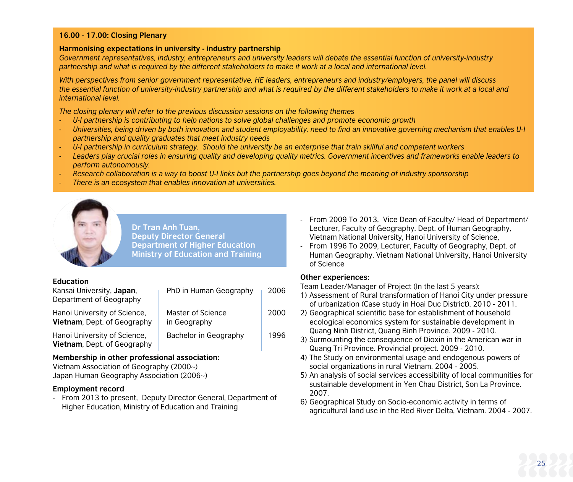#### **16.00 - 17.00: Closing Plenary**

#### **Harmonising expectations in university - industry partnership**

Government representatives, industry, entrepreneurs and university leaders will debate the essential function of university-industry *partnership and what is required by the different stakeholders to make it work at a local and international level.*

*With perspectives from senior government representative, HE leaders, entrepreneurs and industry/employers, the panel will discuss the essential function of university-industry partnership and what is required by the different stakeholders to make it work at a local and international level.* 

*The closing plenary will refer to the previous discussion sessions on the following themes*

- *- U-I partnership is contributing to help nations to solve global challenges and promote economic growth*
- *Universities, being driven by both innovation and student employability, need to find an innovative governing mechanism that enables U-I partnership and quality graduates that meet industry needs*
- *- U-I partnership in curriculum strategy. Should the university be an enterprise that train skillful and competent workers*
- *Leaders play crucial roles in ensuring quality and developing quality metrics. Government incentives and frameworks enable leaders to perform autonomously.*
- *- Research collaboration is a way to boost U-I links but the partnership goes beyond the meaning of industry sponsorship*
- *- There is an ecosystem that enables innovation at universities.*



**Dr Tran Anh Tuan, Deputy Director General Department of Higher Education Ministry of Education and Training**

#### **Education**

| Kansai University, Japan.<br>Department of Geography               | PhD in Human Geography            | 2006 |
|--------------------------------------------------------------------|-----------------------------------|------|
| Hanoi University of Science,<br><b>Vietnam, Dept. of Geography</b> | Master of Science<br>in Geography | 2000 |
| Hanoi University of Science.<br>Vietnam, Dept. of Geography        | Bachelor in Geography             | 1996 |

#### **Membership in other professional association:**

Vietnam Association of Geography (2000~) Japan Human Geography Association (2006~)

#### **Employment record**

- From 2013 to present, Deputy Director General, Department of Higher Education, Ministry of Education and Training

- From 2009 To 2013, Vice Dean of Faculty/ Head of Department/ Lecturer, Faculty of Geography, Dept. of Human Geography, Vietnam National University, Hanoi University of Science,
- From 1996 To 2009, Lecturer, Faculty of Geography, Dept. of Human Geography, Vietnam National University, Hanoi University of Science

#### **Other experiences:**

Team Leader/Manager of Project (In the last 5 years):

- 1) Assessment of Rural transformation of Hanoi City under pressure of urbanization (Case study in Hoai Duc District). 2010 - 2011.
- 2) Geographical scientific base for establishment of household ecological economics system for sustainable development in Quang Ninh District, Quang Binh Province. 2009 - 2010.
- 3) Surmounting the consequence of Dioxin in the American war in Quang Tri Province. Provincial project. 2009 - 2010.
- 4) The Study on environmental usage and endogenous powers of social organizations in rural Vietnam. 2004 - 2005.
- 5) An analysis of social services accessibility of local communities for sustainable development in Yen Chau District, Son La Province. 2007.
- 6) Geographical Study on Socio-economic activity in terms of agricultural land use in the Red River Delta, Vietnam. 2004 - 2007.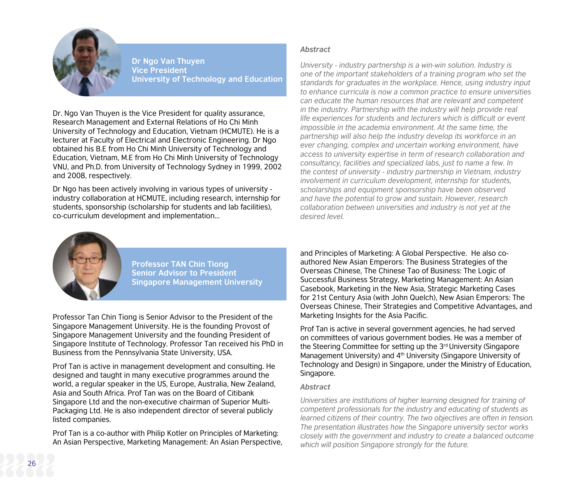

**Dr Ngo Van Thuyen Vice President University of Technology and Education**

Dr. Ngo Van Thuyen is the Vice President for quality assurance, Research Management and External Relations of Ho Chi Minh University of Technology and Education, Vietnam (HCMUTE). He is a lecturer at Faculty of Electrical and Electronic Engineering. Dr Ngo obtained his B.E from Ho Chi Minh University of Technology and Education, Vietnam, M.E from Ho Chi Minh University of Technology VNU, and Ph.D. from University of Technology Sydney in 1999, 2002 and 2008, respectively.

Dr Ngo has been actively involving in various types of university industry collaboration at HCMUTE, including research, internship for students, sponsorship (scholarship for students and lab facilities), co-curriculum development and implementation...

#### *Abstract*

*University - industry partnership is a win-win solution. Industry is one of the important stakeholders of a training program who set the standards for graduates in the workplace. Hence, using industry input to enhance curricula is now a common practice to ensure universities can educate the human resources that are relevant and competent in the industry. Partnership with the industry will help provide real life experiences for students and lecturers which is difficult or event impossible in the academia environment. At the same time, the partnership will also help the industry develop its workforce in an ever changing, complex and uncertain working environment, have access to university expertise in term of research collaboration and consultancy, facilities and specialized labs, just to name a few. In the contest of university - industry partnership in Vietnam, industry involvement in curriculum development, internship for students, scholarships and equipment sponsorship have been observed and have the potential to grow and sustain. However, research collaboration between universities and industry is not yet at the desired level.*



**Professor TAN Chin Tiong Senior Advisor to President Singapore Management University**

Professor Tan Chin Tiong is Senior Advisor to the President of the Singapore Management University. He is the founding Provost of Singapore Management University and the founding President of Singapore Institute of Technology. Professor Tan received his PhD in Business from the Pennsylvania State University, USA.

Prof Tan is active in management development and consulting. He designed and taught in many executive programmes around the world, a regular speaker in the US, Europe, Australia, New Zealand, Asia and South Africa. Prof Tan was on the Board of Citibank Singapore Ltd and the non-executive chairman of Superior Multi-Packaging Ltd. He is also independent director of several publicly listed companies.

Prof Tan is a co-author with Philip Kotler on Principles of Marketing: An Asian Perspective, Marketing Management: An Asian Perspective, and Principles of Marketing: A Global Perspective. He also coauthored New Asian Emperors: The Business Strategies of the Overseas Chinese, The Chinese Tao of Business: The Logic of Successful Business Strategy, Marketing Management: An Asian Casebook, Marketing in the New Asia, Strategic Marketing Cases for 21st Century Asia (with John Quelch), New Asian Emperors: The Overseas Chinese, Their Strategies and Competitive Advantages, and Marketing Insights for the Asia Pacific.

Prof Tan is active in several government agencies, he had served on committees of various government bodies. He was a member of the Steering Committee for setting up the 3<sup>rd</sup> University (Singapore Management University) and 4th University (Singapore University of Technology and Design) in Singapore, under the Ministry of Education, Singapore.

#### *Abstract*

*Universities are institutions of higher learning designed for training of competent professionals for the industry and educating of students as learned citizens of their country. The two objectives are often in tension. The presentation illustrates how the Singapore university sector works closely with the government and industry to create a balanced outcome which will position Singapore strongly for the future.*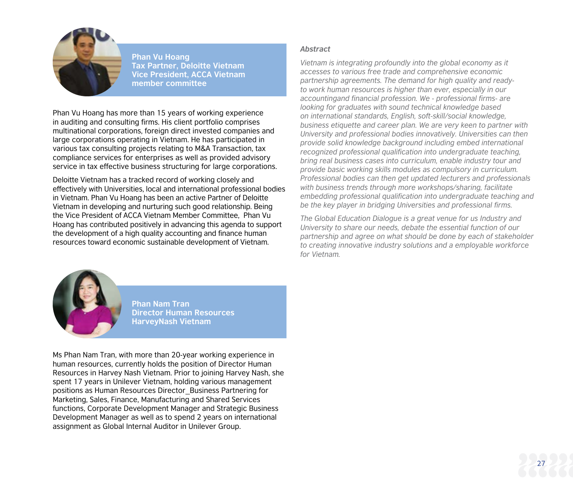

**Phan Vu Hoang Tax Partner, Deloitte Vietnam Vice President, ACCA Vietnam member committee**

Phan Vu Hoang has more than 15 years of working experience in auditing and consulting firms. His client portfolio comprises multinational corporations, foreign direct invested companies and large corporations operating in Vietnam. He has participated in various tax consulting projects relating to M&A Transaction, tax compliance services for enterprises as well as provided advisory service in tax effective business structuring for large corporations.

Deloitte Vietnam has a tracked record of working closely and effectively with Universities, local and international professional bodies in Vietnam. Phan Vu Hoang has been an active Partner of Deloitte Vietnam in developing and nurturing such good relationship. Being the Vice President of ACCA Vietnam Member Committee, Phan Vu Hoang has contributed positively in advancing this agenda to support the development of a high quality accounting and finance human resources toward economic sustainable development of Vietnam.

#### *Abstract*

*Vietnam is integrating profoundly into the global economy as it accesses to various free trade and comprehensive economic partnership agreements. The demand for high quality and readyto work human resources is higher than ever, especially in our accountingand financial profession. We - professional firms- are looking for graduates with sound technical knowledge based on international standards, English, soft-skill/social knowledge, business etiquette and career plan. We are very keen to partner with University and professional bodies innovatively. Universities can then provide solid knowledge background including embed international recognized professional qualification into undergraduate teaching, bring real business cases into curriculum, enable industry tour and provide basic working skills modules as compulsory in curriculum. Professional bodies can then get updated lecturers and professionals with business trends through more workshops/sharing, facilitate embedding professional qualification into undergraduate teaching and be the key player in bridging Universities and professional firms.* 

*The Global Education Dialogue is a great venue for us Industry and University to share our needs, debate the essential function of our partnership and agree on what should be done by each of stakeholder to creating innovative industry solutions and a employable workforce for Vietnam.*

27



**Phan Nam Tran Director Human Resources HarveyNash Vietnam**

Ms Phan Nam Tran, with more than 20-year working experience in human resources, currently holds the position of Director Human Resources in Harvey Nash Vietnam. Prior to joining Harvey Nash, she spent 17 years in Unilever Vietnam, holding various management positions as Human Resources Director\_Business Partnering for Marketing, Sales, Finance, Manufacturing and Shared Services functions, Corporate Development Manager and Strategic Business Development Manager as well as to spend 2 years on international assignment as Global Internal Auditor in Unilever Group.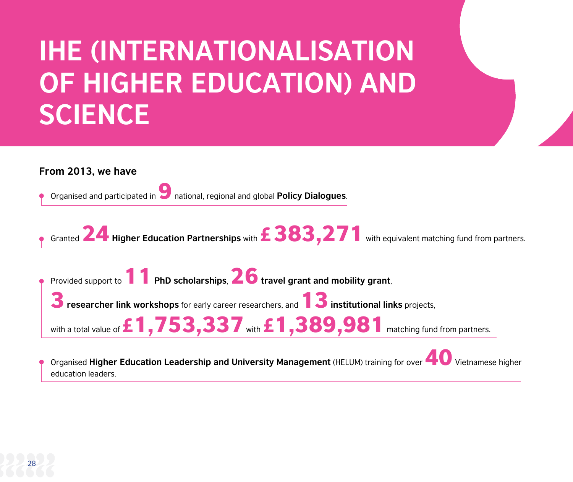## **IHE (INTERNATIONALISATION OF HIGHER EDUCATION) AND SCIENCE**

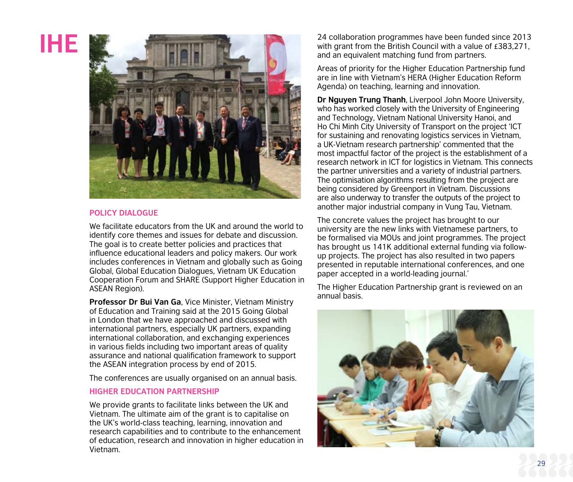## **IHE**



#### **POLICY DIALOGUE**

We facilitate educators from the UK and around the world to identify core themes and issues for debate and discussion. The goal is to create better policies and practices that influence educational leaders and policy makers. Our work includes conferences in Vietnam and globally such as Going Global, Global Education Dialogues, Vietnam UK Education Cooperation Forum and SHARE (Support Higher Education in ASEAN Region).

**Professor Dr Bui Van Ga**, Vice Minister, Vietnam Ministry of Education and Training said at the 2015 Going Global in London that we have approached and discussed with international partners, especially UK partners, expanding international collaboration, and exchanging experiences in various fields including two important areas of quality assurance and national qualification framework to support the ASEAN integration process by end of 2015.

The conferences are usually organised on an annual basis.

#### **HIGHER EDUCATION PARTNERSHIP**

We provide grants to facilitate links between the UK and Vietnam. The ultimate aim of the grant is to capitalise on the UK's world-class teaching, learning, innovation and research capabilities and to contribute to the enhancement of education, research and innovation in higher education in Vietnam.

24 collaboration programmes have been funded since 2013 with grant from the British Council with a value of £383,271, and an equivalent matching fund from partners.

Areas of priority for the Higher Education Partnership fund are in line with Vietnam's HERA (Higher Education Reform Agenda) on teaching, learning and innovation.

**Dr Nguyen Trung Thanh**, Liverpool John Moore University, who has worked closely with the University of Engineering and Technology, Vietnam National University Hanoi, and Ho Chi Minh City University of Transport on the project 'ICT for sustaining and renovating logistics services in Vietnam. a UK-Vietnam research partnership' commented that the most impactful factor of the project is the establishment of a research network in ICT for logistics in Vietnam. This connects the partner universities and a variety of industrial partners. The optimisation algorithms resulting from the project are being considered by Greenport in Vietnam. Discussions are also underway to transfer the outputs of the project to another major industrial company in Vung Tau, Vietnam.

The concrete values the project has brought to our university are the new links with Vietnamese partners, to be formalised via MOUs and joint programmes. The project has brought us 141K additional external funding via followup projects. The project has also resulted in two papers presented in reputable international conferences, and one paper accepted in a world-leading journal.'

The Higher Education Partnership grant is reviewed on an annual basis.

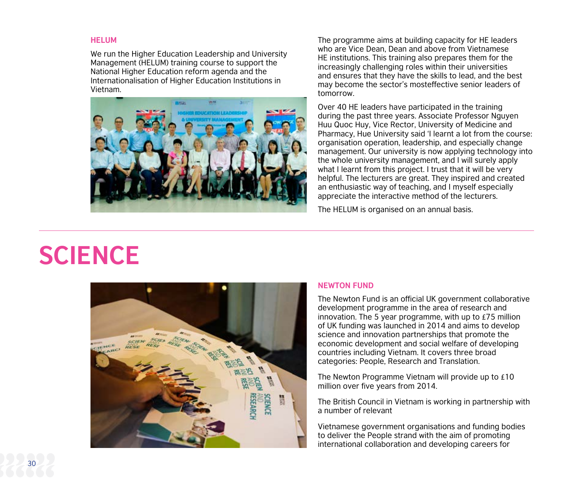#### **HELUM**

We run the Higher Education Leadership and University Management (HELUM) training course to support the National Higher Education reform agenda and the Internationalisation of Higher Education Institutions in Vietnam.



The programme aims at building capacity for HE leaders who are Vice Dean, Dean and above from Vietnamese HE institutions. This training also prepares them for the increasingly challenging roles within their universities and ensures that they have the skills to lead, and the best may become the sector's mosteffective senior leaders of tomorrow.

Over 40 HE leaders have participated in the training during the past three years. Associate Professor Nguyen Huu Quoc Huy, Vice Rector, University of Medicine and Pharmacy, Hue University said 'I learnt a lot from the course: organisation operation, leadership, and especially change management. Our university is now applying technology into the whole university management, and I will surely apply what I learnt from this project. I trust that it will be very helpful. The lecturers are great. They inspired and created an enthusiastic way of teaching, and I myself especially appreciate the interactive method of the lecturers.

The HELUM is organised on an annual basis.

## **SCIENCE**



#### **NEWTON FUND**

The Newton Fund is an official UK government collaborative development programme in the area of research and innovation. The 5 year programme, with up to £75 million of UK funding was launched in 2014 and aims to develop science and innovation partnerships that promote the economic development and social welfare of developing countries including Vietnam. It covers three broad categories: People, Research and Translation.

The Newton Programme Vietnam will provide up to £10 million over five years from 2014.

The British Council in Vietnam is working in partnership with a number of relevant

Vietnamese government organisations and funding bodies to deliver the People strand with the aim of promoting international collaboration and developing careers for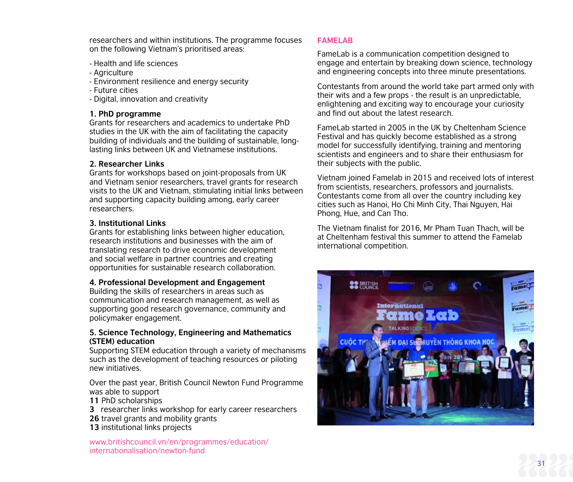researchers and within institutions. The programme focuses on the following Vietnam's prioritised areas:

- Health and life sciences
- Agriculture
- Environment resilience and energy security
- Future cities
- Digital, innovation and creativity

#### **1. PhD programme**

Grants for researchers and academics to undertake PhD studies in the UK with the aim of facilitating the capacity building of individuals and the building of sustainable, longlasting links between UK and Vietnamese institutions.

#### **2. Researcher Links**

Grants for workshops based on joint-proposals from UK and Vietnam senior researchers, travel grants for research visits to the UK and Vietnam, stimulating initial links between and supporting capacity building among, early career researchers.

#### **3. Institutional Links**

Grants for establishing links between higher education, research institutions and businesses with the aim of translating research to drive economic development and social welfare in partner countries and creating opportunities for sustainable research collaboration.

#### **4. Professional Development and Engagement**

Building the skills of researchers in areas such as communication and research management, as well as supporting good research governance, community and policymaker engagement.

#### **5. Science Technology, Engineering and Mathematics (STEM) education**

Supporting STEM education through a variety of mechanisms such as the development of teaching resources or piloting new initiatives.

Over the past year, British Council Newton Fund Programme was able to support

- **11** PhD scholarships
- **3** researcher links workshop for early career researchers
- **26** travel grants and mobility grants
- **13** institutional links projects

www.britishcouncil.vn/en/programmes/education/ internationalisation/newton-fund

### **FAMELAB**

FameLab is a communication competition designed to engage and entertain by breaking down science, technology and engineering concepts into three minute presentations.

Contestants from around the world take part armed only with their wits and a few props - the result is an unpredictable, enlightening and exciting way to encourage your curiosity and find out about the latest research.

FameLab started in 2005 in the UK by Cheltenham Science Festival and has quickly become established as a strong model for successfully identifying, training and mentoring scientists and engineers and to share their enthusiasm for their subjects with the public.

Vietnam joined Famelab in 2015 and received lots of interest from scientists, researchers, professors and journalists. Contestants come from all over the country including key cities such as Hanoi, Ho Chi Minh City, Thai Nguyen, Hai Phong, Hue, and Can Tho.

The Vietnam finalist for 2016, Mr Pham Tuan Thach, will be at Cheltenham festival this summer to attend the Famelab international competition.



31